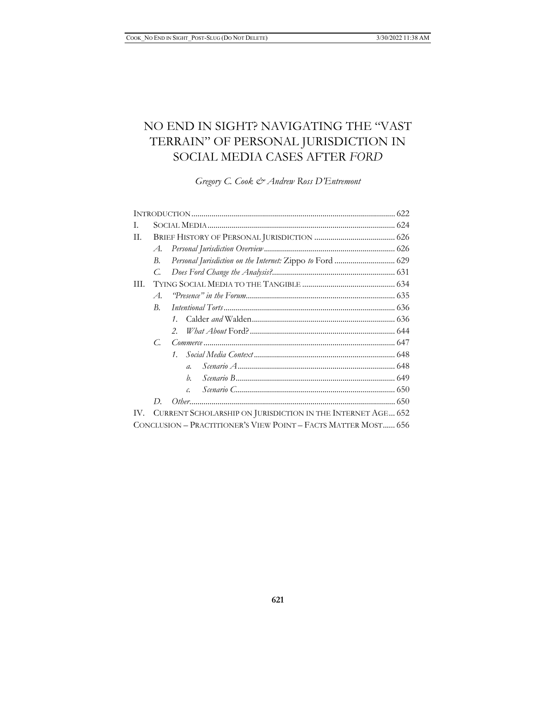# NO END IN SIGHT? NAVIGATING THE "VAST TERRAIN" OF PERSONAL JURISDICTION IN SOCIAL MEDIA CASES AFTER *FORD*

*Gregory C. Cook & Andrew Ross D'Entremont*

|                                                                 | I. |
|-----------------------------------------------------------------|----|
|                                                                 | П. |
| A.                                                              |    |
| Personal Jurisdiction on the Internet: Zippo to Ford  629<br>В. |    |
| $C_{\cdot}$                                                     |    |
|                                                                 | Ш. |
| $\mathcal{A}_{\cdot}$                                           |    |
| В.                                                              |    |
|                                                                 |    |
|                                                                 |    |
| $C_{\cdot}$                                                     |    |
|                                                                 |    |
| $\mathfrak{a}$ .                                                |    |
| h.                                                              |    |
| c.                                                              |    |
| D.                                                              |    |
| IV. CURRENT SCHOLARSHIP ON JURISDICTION IN THE INTERNET AGE 652 |    |
| CONCLUSION – PRACTITIONER'S VIEW POINT – FACTS MATTER MOST 656  |    |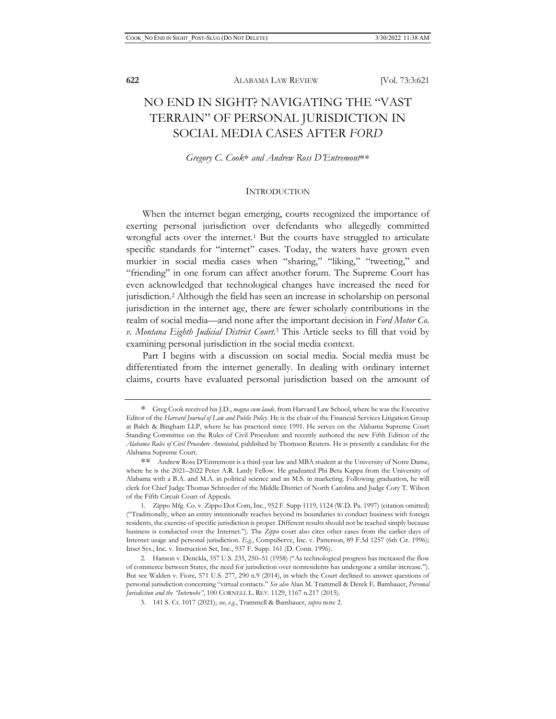# NO END IN SIGHT? NAVIGATING THE "VAST TERRAIN" OF PERSONAL JURISDICTION IN SOCIAL MEDIA CASES AFTER *FORD*

*Gregory C. Cook*∗ *and Andrew Ross D'Entremont*∗∗

#### **INTRODUCTION**

When the internet began emerging, courts recognized the importance of exerting personal jurisdiction over defendants who allegedly committed wrongful acts over the internet.<sup>1</sup> But the courts have struggled to articulate specific standards for "internet" cases. Today, the waters have grown even murkier in social media cases when "sharing," "liking," "tweeting," and "friending" in one forum can affect another forum. The Supreme Court has even acknowledged that technological changes have increased the need for jurisdiction.2 Although the field has seen an increase in scholarship on personal jurisdiction in the internet age, there are fewer scholarly contributions in the realm of social media—and none after the important decision in *Ford Motor Co. v. Montana Eighth Judicial District Court*. 3 This Article seeks to fill that void by examining personal jurisdiction in the social media context.

Part I begins with a discussion on social media. Social media must be differentiated from the internet generally. In dealing with ordinary internet claims, courts have evaluated personal jurisdiction based on the amount of

<sup>∗</sup> Greg Cook received his J.D., *magna cum laude*, from Harvard Law School, where he was the Executive Editor of the *Harvard Journal of Law and Public Policy*. He is the chair of the Financial Services Litigation Group at Balch & Bingham LLP, where he has practiced since 1991. He serves on the Alabama Supreme Court Standing Committee on the Rules of Civil Procedure and recently authored the new Fifth Edition of the *Alabama Rules of Civil Procedure Annotated,* published by Thomson Reuters. He is presently a candidate for the Alabama Supreme Court.

<sup>∗∗</sup> Andrew Ross D'Entremont is a third-year law and MBA student at the University of Notre Dame, where he is the 2021–2022 Peter A.R. Lardy Fellow. He graduated Phi Beta Kappa from the University of Alabama with a B.A. and M.A. in political science and an M.S. in marketing. Following graduation, he will clerk for Chief Judge Thomas Schroeder of the Middle District of North Carolina and Judge Cory T. Wilson of the Fifth Circuit Court of Appeals.

<sup>1.</sup> Zippo Mfg. Co. v. Zippo Dot Com, Inc., 952 F. Supp 1119, 1124 (W.D. Pa. 1997) (citation omitted) ("Traditionally, when an entity intentionally reaches beyond its boundaries to conduct business with foreign residents, the exercise of specific jurisdiction is proper. Different results should not be reached simply because business is conducted over the Internet."). The *Zippo* court also cites other cases from the earlier days of Internet usage and personal jurisdiction. *E.g.*, CompuServe, Inc. v. Patterson, 89 F.3d 1257 (6th Cir. 1996); Inset Sys., Inc. v. Instruction Set, Inc., 937 F. Supp. 161 (D. Conn. 1996).

<sup>2.</sup> Hanson v. Denckla, 357 U.S. 235, 250–51 (1958) ("As technological progress has increased the flow of commerce between States, the need for jurisdiction over nonresidents has undergone a similar increase."). But see Walden v. Fiore, 571 U.S. 277, 290 n.9 (2014), in which the Court declined to answer questions of personal jurisdiction concerning "virtual contacts." *See also* Alan M. Trammell & Derek E. Bambauer, *Personal Jurisdiction and the "Interwebs"*, 100 CORNELL L. REV. 1129, 1167 n.217 (2015).

<sup>3. 141</sup> S. Ct. 1017 (2021); *see, e.g.*, Trammell & Bambauer, *supra* note 2.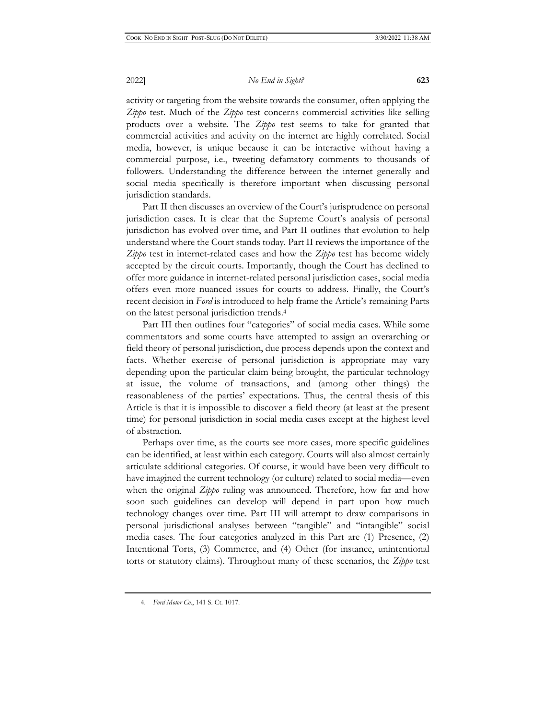activity or targeting from the website towards the consumer, often applying the *Zippo* test. Much of the *Zippo* test concerns commercial activities like selling products over a website. The *Zippo* test seems to take for granted that commercial activities and activity on the internet are highly correlated. Social media, however, is unique because it can be interactive without having a commercial purpose, i.e., tweeting defamatory comments to thousands of followers. Understanding the difference between the internet generally and social media specifically is therefore important when discussing personal jurisdiction standards.

Part II then discusses an overview of the Court's jurisprudence on personal jurisdiction cases. It is clear that the Supreme Court's analysis of personal jurisdiction has evolved over time, and Part II outlines that evolution to help understand where the Court stands today. Part II reviews the importance of the *Zippo* test in internet-related cases and how the *Zippo* test has become widely accepted by the circuit courts. Importantly, though the Court has declined to offer more guidance in internet-related personal jurisdiction cases, social media offers even more nuanced issues for courts to address. Finally, the Court's recent decision in *Ford* is introduced to help frame the Article's remaining Parts on the latest personal jurisdiction trends.4

Part III then outlines four "categories" of social media cases. While some commentators and some courts have attempted to assign an overarching or field theory of personal jurisdiction, due process depends upon the context and facts. Whether exercise of personal jurisdiction is appropriate may vary depending upon the particular claim being brought, the particular technology at issue, the volume of transactions, and (among other things) the reasonableness of the parties' expectations. Thus, the central thesis of this Article is that it is impossible to discover a field theory (at least at the present time) for personal jurisdiction in social media cases except at the highest level of abstraction.

Perhaps over time, as the courts see more cases, more specific guidelines can be identified, at least within each category. Courts will also almost certainly articulate additional categories. Of course, it would have been very difficult to have imagined the current technology (or culture) related to social media—even when the original *Zippo* ruling was announced. Therefore, how far and how soon such guidelines can develop will depend in part upon how much technology changes over time. Part III will attempt to draw comparisons in personal jurisdictional analyses between "tangible" and "intangible" social media cases. The four categories analyzed in this Part are (1) Presence, (2) Intentional Torts, (3) Commerce, and (4) Other (for instance, unintentional torts or statutory claims). Throughout many of these scenarios, the *Zippo* test

<sup>4.</sup> *Ford Motor Co.*, 141 S. Ct. 1017.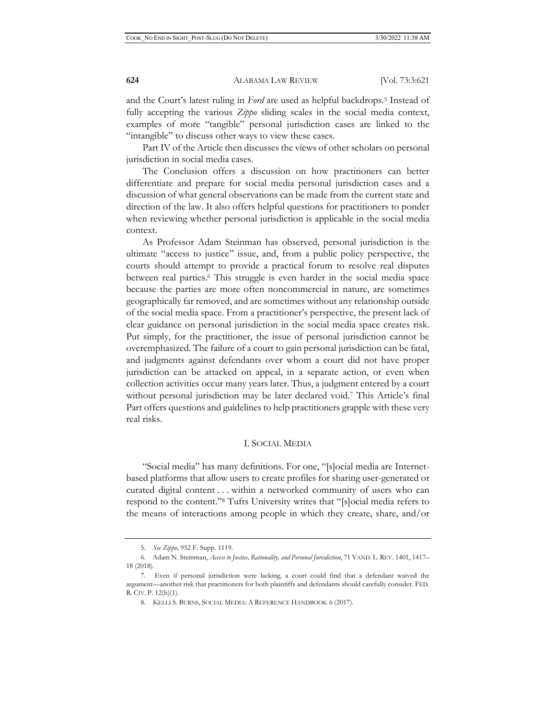and the Court's latest ruling in *Ford* are used as helpful backdrops.5 Instead of fully accepting the various *Zippo* sliding scales in the social media context, examples of more "tangible" personal jurisdiction cases are linked to the "intangible" to discuss other ways to view these cases.

Part IV of the Article then discusses the views of other scholars on personal jurisdiction in social media cases.

The Conclusion offers a discussion on how practitioners can better differentiate and prepare for social media personal jurisdiction cases and a discussion of what general observations can be made from the current state and direction of the law. It also offers helpful questions for practitioners to ponder when reviewing whether personal jurisdiction is applicable in the social media context.

As Professor Adam Steinman has observed, personal jurisdiction is the ultimate "access to justice" issue, and, from a public policy perspective, the courts should attempt to provide a practical forum to resolve real disputes between real parties.6 This struggle is even harder in the social media space because the parties are more often noncommercial in nature, are sometimes geographically far removed, and are sometimes without any relationship outside of the social media space. From a practitioner's perspective, the present lack of clear guidance on personal jurisdiction in the social media space creates risk. Put simply, for the practitioner, the issue of personal jurisdiction cannot be overemphasized. The failure of a court to gain personal jurisdiction can be fatal, and judgments against defendants over whom a court did not have proper jurisdiction can be attacked on appeal, in a separate action, or even when collection activities occur many years later. Thus, a judgment entered by a court without personal jurisdiction may be later declared void.<sup>7</sup> This Article's final Part offers questions and guidelines to help practitioners grapple with these very real risks.

#### I. SOCIAL MEDIA

"Social media" has many definitions. For one, "[s]ocial media are Internetbased platforms that allow users to create profiles for sharing user-generated or curated digital content . . . within a networked community of users who can respond to the content."8 Tufts University writes that "[s]ocial media refers to the means of interactions among people in which they create, share, and/or

<sup>5.</sup> *See Zippo*, 952 F. Supp. 1119.

<sup>6.</sup> Adam N. Steinman, *Access to Justice, Rationality, and Personal Jurisdiction*, 71 VAND. L. REV. 1401, 1417– 18 (2018).

<sup>7.</sup> Even if personal jurisdiction were lacking, a court could find that a defendant waived the argument—another risk that practitioners for both plaintiffs and defendants should carefully consider. FED. R. CIV. P. 12(h)(1).

<sup>8.</sup> KELLI S. BURNS, SOCIAL MEDIA: A REFERENCE HANDBOOK 6 (2017).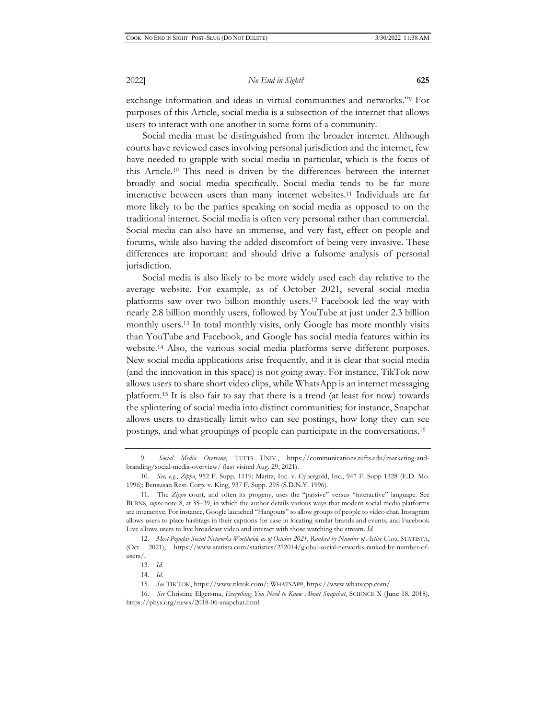exchange information and ideas in virtual communities and networks."9 For purposes of this Article, social media is a subsection of the internet that allows users to interact with one another in some form of a community.

Social media must be distinguished from the broader internet. Although courts have reviewed cases involving personal jurisdiction and the internet, few have needed to grapple with social media in particular, which is the focus of this Article.10 This need is driven by the differences between the internet broadly and social media specifically. Social media tends to be far more interactive between users than many internet websites.11 Individuals are far more likely to be the parties speaking on social media as opposed to on the traditional internet. Social media is often very personal rather than commercial. Social media can also have an immense, and very fast, effect on people and forums, while also having the added discomfort of being very invasive. These differences are important and should drive a fulsome analysis of personal jurisdiction.

Social media is also likely to be more widely used each day relative to the average website. For example, as of October 2021, several social media platforms saw over two billion monthly users.12 Facebook led the way with nearly 2.8 billion monthly users, followed by YouTube at just under 2.3 billion monthly users.13 In total monthly visits, only Google has more monthly visits than YouTube and Facebook, and Google has social media features within its website.14 Also, the various social media platforms serve different purposes. New social media applications arise frequently, and it is clear that social media (and the innovation in this space) is not going away. For instance, TikTok now allows users to share short video clips, while WhatsApp is an internet messaging platform.15 It is also fair to say that there is a trend (at least for now) towards the splintering of social media into distinct communities; for instance, Snapchat allows users to drastically limit who can see postings, how long they can see postings, and what groupings of people can participate in the conversations.16

<sup>9.</sup> *Social Media Overview*, TUFTS UNIV., https://communications.tufts.edu/marketing-andbranding/social-media-overview/ (last visited Aug. 29, 2021).

<sup>10.</sup> *See, e.g.*, *Zippo*, 952 F. Supp. 1119; Maritz, Inc. v. Cybergold, Inc., 947 F. Supp 1328 (E.D. Mo. 1996); Bensusan Rest. Corp. v. King, 937 F. Supp. 295 (S.D.N.Y. 1996).

<sup>11.</sup> The *Zippo* court, and often its progeny, uses the "passive" versus "interactive" language. See BURNS, *supra* note 8, at 35–39, in which the author details various ways that modern social media platforms are interactive. For instance, Google launched "Hangouts" to allow groups of people to video chat, Instagram allows users to place hashtags in their captions for ease in locating similar brands and events, and Facebook Live allows users to live broadcast video and interact with those watching the stream. *Id.*

<sup>12.</sup> *Most Popular Social Networks Worldwide as of October 2021, Ranked by Number of Active Users*, STATISTA, (Oct. 2021), https://www.statista.com/statistics/272014/global-social-networks-ranked-by-number-ofusers/.

<sup>13.</sup> *Id.* 

<sup>14.</sup> *Id.*

<sup>15.</sup> *See* TIKTOK, https://www.tiktok.com/; WHATSAPP, https://www.whatsapp.com/.

<sup>16.</sup> *See* Christine Elgersma, *Everything You Need to Know About Snapchat*, SCIENCE X (June 18, 2018), https://phys.org/news/2018-06-snapchat.html.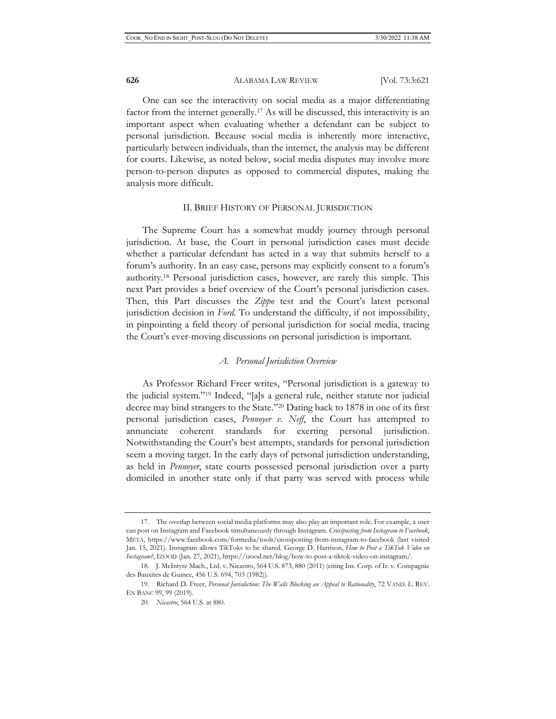One can see the interactivity on social media as a major differentiating factor from the internet generally.17 As will be discussed, this interactivity is an important aspect when evaluating whether a defendant can be subject to personal jurisdiction. Because social media is inherently more interactive, particularly between individuals, than the internet, the analysis may be different for courts. Likewise, as noted below, social media disputes may involve more person-to-person disputes as opposed to commercial disputes, making the analysis more difficult.

#### II. BRIEF HISTORY OF PERSONAL JURISDICTION

The Supreme Court has a somewhat muddy journey through personal jurisdiction. At base, the Court in personal jurisdiction cases must decide whether a particular defendant has acted in a way that submits herself to a forum's authority. In an easy case, persons may explicitly consent to a forum's authority.18 Personal jurisdiction cases, however, are rarely this simple. This next Part provides a brief overview of the Court's personal jurisdiction cases. Then, this Part discusses the *Zippo* test and the Court's latest personal jurisdiction decision in *Ford*. To understand the difficulty, if not impossibility, in pinpointing a field theory of personal jurisdiction for social media, tracing the Court's ever-moving discussions on personal jurisdiction is important.

#### *A. Personal Jurisdiction Overview*

As Professor Richard Freer writes, "Personal jurisdiction is a gateway to the judicial system."19 Indeed, "[a]s a general rule, neither statute nor judicial decree may bind strangers to the State."20 Dating back to 1878 in one of its first personal jurisdiction cases, *Pennoyer v. Neff*, the Court has attempted to annunciate coherent standards for exerting personal jurisdiction. Notwithstanding the Court's best attempts, standards for personal jurisdiction seem a moving target. In the early days of personal jurisdiction understanding, as held in *Pennoyer*, state courts possessed personal jurisdiction over a party domiciled in another state only if that party was served with process while

<sup>17.</sup> The overlap between social media platforms may also play an important role. For example, a user can post on Instagram and Facebook simultaneously through Instagram. *Crossposting from Instagram to Facebook*, META, https://www.facebook.com/formedia/tools/crossposting-from-instagram-to-facebook (last visited Jan. 15, 2021). Instagram allows TikToks to be shared. George D. Harrison, *How to Post a TikTok Video on Instagram?*, IZOOD (Jan. 27, 2021), https://izood.net/blog/how-to-post-a-tiktok-video-on-instagram/.

<sup>18.</sup> J. McIntyre Mach., Ltd. v. Nicastro, 564 U.S. 873, 880 (2011) (citing Ins. Corp. of Ir. v. Compagnie des Bauxites de Guinee, 456 U.S. 694, 703 (1982)).

<sup>19.</sup> Richard D. Freer, *Personal Jurisdiction: The Walls Blocking an Appeal to Rationality*, 72 VAND. L. REV. EN BANC 99, 99 (2019).

<sup>20.</sup> *Nicastro*, 564 U.S. at 880.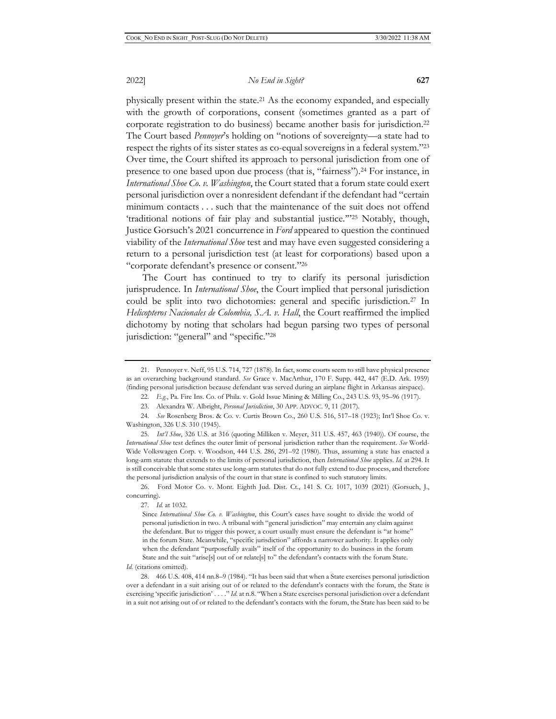physically present within the state.21 As the economy expanded, and especially with the growth of corporations, consent (sometimes granted as a part of corporate registration to do business) became another basis for jurisdiction.22 The Court based *Pennoyer*'s holding on "notions of sovereignty—a state had to respect the rights of its sister states as co-equal sovereigns in a federal system."23 Over time, the Court shifted its approach to personal jurisdiction from one of presence to one based upon due process (that is, "fairness").24 For instance, in *International Shoe Co. v. Washington*, the Court stated that a forum state could exert personal jurisdiction over a nonresident defendant if the defendant had "certain minimum contacts . . . such that the maintenance of the suit does not offend 'traditional notions of fair play and substantial justice.'"25 Notably, though, Justice Gorsuch's 2021 concurrence in *Ford* appeared to question the continued viability of the *International Shoe* test and may have even suggested considering a return to a personal jurisdiction test (at least for corporations) based upon a "corporate defendant's presence or consent."26

The Court has continued to try to clarify its personal jurisdiction jurisprudence. In *International Shoe*, the Court implied that personal jurisdiction could be split into two dichotomies: general and specific jurisdiction.27 In *Helicopteros Nacionales de Colombia, S.A. v. Hall*, the Court reaffirmed the implied dichotomy by noting that scholars had begun parsing two types of personal jurisdiction: "general" and "specific."28

25. *Int'l Shoe*, 326 U.S. at 316 (quoting Milliken v. Meyer, 311 U.S. 457, 463 (1940)). Of course, the *International Shoe* test defines the outer limit of personal jurisdiction rather than the requirement. *See* World-Wide Volkswagen Corp. v. Woodson, 444 U.S. 286, 291–92 (1980). Thus, assuming a state has enacted a long-arm statute that extends to the limits of personal jurisdiction, then *International Shoe* applies. *Id.* at 294. It is still conceivable that some states use long-arm statutes that do not fully extend to due process, and therefore the personal jurisdiction analysis of the court in that state is confined to such statutory limits.

26. Ford Motor Co. v. Mont. Eighth Jud. Dist. Ct., 141 S. Ct. 1017, 1039 (2021) (Gorsuch, J., concurring).

27. *Id.* at 1032.

*Id.* (citations omitted).

<sup>21.</sup> Pennoyer v. Neff, 95 U.S. 714, 727 (1878). In fact, some courts seem to still have physical presence as an overarching background standard. *See* Grace v. MacArthur, 170 F. Supp. 442, 447 (E.D. Ark. 1959) (finding personal jurisdiction because defendant was served during an airplane flight in Arkansas airspace).

<sup>22.</sup> *E.g.*, Pa. Fire Ins. Co. of Phila. v. Gold Issue Mining & Milling Co., 243 U.S. 93, 95–96 (1917).

<sup>23.</sup> Alexandra W. Albright, *Personal Jurisdiction*, 30 APP. ADVOC. 9, 11 (2017).

<sup>24.</sup> *See* Rosenberg Bros. & Co. v. Curtis Brown Co., 260 U.S. 516, 517–18 (1923); Int'l Shoe Co. v. Washington, 326 U.S. 310 (1945).

Since *International Shoe Co. v. Washington*, this Court's cases have sought to divide the world of personal jurisdiction in two. A tribunal with "general jurisdiction" may entertain any claim against the defendant. But to trigger this power, a court usually must ensure the defendant is "at home" in the forum State. Meanwhile, "specific jurisdiction" affords a narrower authority. It applies only when the defendant "purposefully avails" itself of the opportunity to do business in the forum State and the suit "arise[s] out of or relate[s] to" the defendant's contacts with the forum State.

<sup>28. 466</sup> U.S. 408, 414 nn.8–9 (1984). "It has been said that when a State exercises personal jurisdiction over a defendant in a suit arising out of or related to the defendant's contacts with the forum, the State is exercising 'specific jurisdiction' . . . ." *Id.* at n.8. "When a State exercises personal jurisdiction over a defendant in a suit not arising out of or related to the defendant's contacts with the forum, the State has been said to be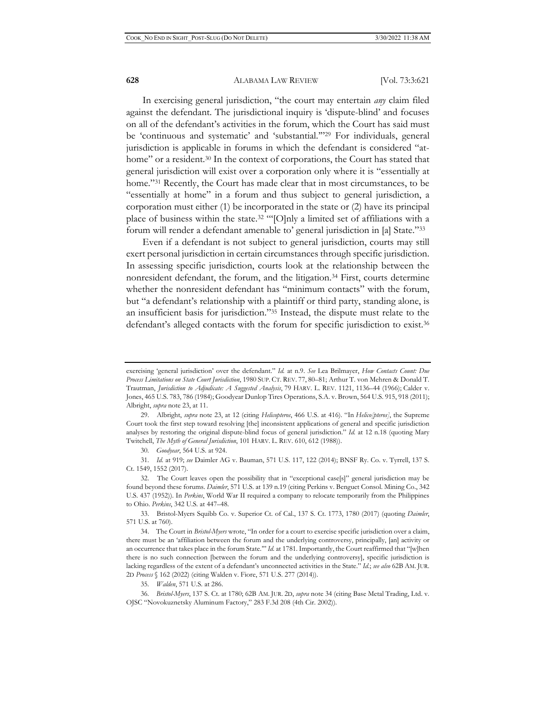In exercising general jurisdiction, "the court may entertain *any* claim filed against the defendant. The jurisdictional inquiry is 'dispute-blind' and focuses on all of the defendant's activities in the forum, which the Court has said must be 'continuous and systematic' and 'substantial.'"29 For individuals, general jurisdiction is applicable in forums in which the defendant is considered "athome" or a resident.<sup>30</sup> In the context of corporations, the Court has stated that general jurisdiction will exist over a corporation only where it is "essentially at home."<sup>31</sup> Recently, the Court has made clear that in most circumstances, to be "essentially at home" in a forum and thus subject to general jurisdiction, a corporation must either (1) be incorporated in the state or (2) have its principal place of business within the state.32 "'[O]nly a limited set of affiliations with a forum will render a defendant amenable to' general jurisdiction in [a] State."33

Even if a defendant is not subject to general jurisdiction, courts may still exert personal jurisdiction in certain circumstances through specific jurisdiction. In assessing specific jurisdiction, courts look at the relationship between the nonresident defendant, the forum, and the litigation.<sup>34</sup> First, courts determine whether the nonresident defendant has "minimum contacts" with the forum, but "a defendant's relationship with a plaintiff or third party, standing alone, is an insufficient basis for jurisdiction."35 Instead, the dispute must relate to the defendant's alleged contacts with the forum for specific jurisdiction to exist.<sup>36</sup>

30. *Goodyear*, 564 U.S. at 924.

31. *Id.* at 919; *see* Daimler AG v. Bauman, 571 U.S. 117, 122 (2014); BNSF Ry. Co. v. Tyrrell, 137 S. Ct. 1549, 1552 (2017).

35. *Walden*, 571 U.S. at 286.

exercising 'general jurisdiction' over the defendant." *Id.* at n.9. *See* Lea Brilmayer, *How Contacts Count: Due Process Limitations on State Court Jurisdiction*, 1980 SUP. CT. REV. 77, 80–81; Arthur T. von Mehren & Donald T. Trautman, *Jurisdiction to Adjudicate: A Suggested Analysis*, 79 HARV. L. REV. 1121, 1136–44 (1966); Calder v. Jones, 465 U.S. 783, 786 (1984); Goodyear Dunlop Tires Operations, S.A. v. Brown, 564 U.S. 915, 918 (2011); Albright, *supra* note 23, at 11.

<sup>29.</sup> Albright, *supra* note 23, at 12 (citing *Helicopteros*, 466 U.S. at 416). "In *Helico[pteros]*, the Supreme Court took the first step toward resolving [the] inconsistent applications of general and specific jurisdiction analyses by restoring the original dispute-blind focus of general jurisdiction." *Id.* at 12 n.18 (quoting Mary Twitchell, *The Myth of General Jurisdiction*, 101 HARV. L. REV. 610, 612 (1988)).

<sup>32.</sup> The Court leaves open the possibility that in "exceptional case[s]" general jurisdiction may be found beyond these forums. *Daimler*, 571 U.S. at 139 n.19 (citing Perkins v. Benguet Consol. Mining Co., 342 U.S. 437 (1952)). In *Perkins*, World War II required a company to relocate temporarily from the Philippines to Ohio. *Perkins*, 342 U.S. at 447–48.

<sup>33.</sup> Bristol-Myers Squibb Co. v. Superior Ct. of Cal., 137 S. Ct. 1773, 1780 (2017) (quoting *Daimler*, 571 U.S. at 760).

<sup>34.</sup> The Court in *Bristol-Myers* wrote, "In order for a court to exercise specific jurisdiction over a claim, there must be an 'affiliation between the forum and the underlying controversy, principally, [an] activity or an occurrence that takes place in the forum State." *Id.* at 1781. Importantly, the Court reaffirmed that "[w]hen there is no such connection [between the forum and the underlying controversy], specific jurisdiction is lacking regardless of the extent of a defendant's unconnected activities in the State." *Id.*; *see also* 62B AM. JUR. 2D *Process* § 162 (2022) (citing Walden v. Fiore, 571 U.S. 277 (2014)).

<sup>36.</sup> *Bristol-Myers*, 137 S. Ct. at 1780; 62B AM. JUR. 2D, *supra* note 34 (citing Base Metal Trading, Ltd. v. OJSC "Novokuznetsky Aluminum Factory," 283 F.3d 208 (4th Cir. 2002)).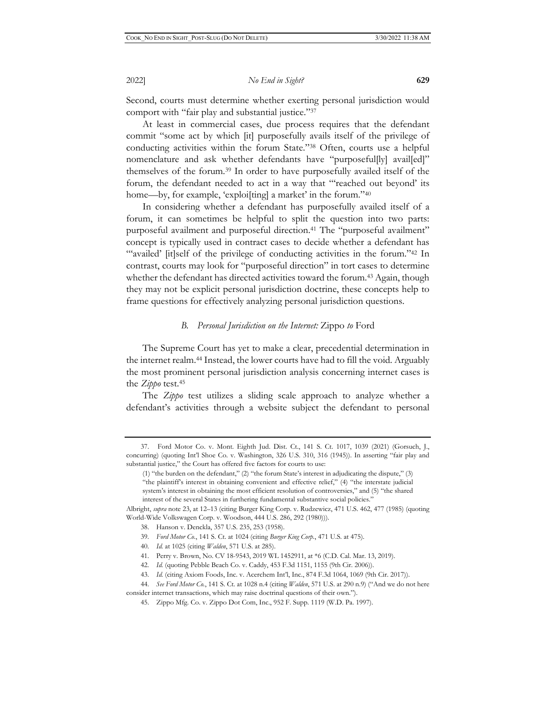Second, courts must determine whether exerting personal jurisdiction would comport with "fair play and substantial justice."37

At least in commercial cases, due process requires that the defendant commit "some act by which [it] purposefully avails itself of the privilege of conducting activities within the forum State."38 Often, courts use a helpful nomenclature and ask whether defendants have "purposeful[ly] avail[ed]" themselves of the forum.39 In order to have purposefully availed itself of the forum, the defendant needed to act in a way that "'reached out beyond' its home—by, for example, 'exploi[ting] a market' in the forum."<sup>40</sup>

In considering whether a defendant has purposefully availed itself of a forum, it can sometimes be helpful to split the question into two parts: purposeful availment and purposeful direction.<sup>41</sup> The "purposeful availment" concept is typically used in contract cases to decide whether a defendant has "'availed' [it]self of the privilege of conducting activities in the forum."<sup>42</sup> In contrast, courts may look for "purposeful direction" in tort cases to determine whether the defendant has directed activities toward the forum.<sup>43</sup> Again, though they may not be explicit personal jurisdiction doctrine, these concepts help to frame questions for effectively analyzing personal jurisdiction questions.

#### *B. Personal Jurisdiction on the Internet:* Zippo *to* Ford

The Supreme Court has yet to make a clear, precedential determination in the internet realm.44 Instead, the lower courts have had to fill the void. Arguably the most prominent personal jurisdiction analysis concerning internet cases is the *Zippo* test.45

The *Zippo* test utilizes a sliding scale approach to analyze whether a defendant's activities through a website subject the defendant to personal

- 38. Hanson v. Denckla, 357 U.S. 235, 253 (1958).
- 39. *Ford Motor Co.*, 141 S. Ct. at 1024 (citing *Burger King Corp.*, 471 U.S. at 475).
- 40. *Id.* at 1025 (citing *Walden*, 571 U.S. at 285).
- 41. Perry v. Brown, No. CV 18-9543, 2019 WL 1452911, at \*6 (C.D. Cal. Mar. 13, 2019).
- 42. *Id.* (quoting Pebble Beach Co. v. Caddy, 453 F.3d 1151, 1155 (9th Cir. 2006)).

<sup>37.</sup> Ford Motor Co. v. Mont. Eighth Jud. Dist. Ct., 141 S. Ct. 1017, 1039 (2021) (Gorsuch, J., concurring) (quoting Int'l Shoe Co. v. Washington, 326 U.S. 310, 316 (1945)). In asserting "fair play and substantial justice," the Court has offered five factors for courts to use:

<sup>(1) &</sup>quot;the burden on the defendant," (2) "the forum State's interest in adjudicating the dispute," (3) "the plaintiff's interest in obtaining convenient and effective relief," (4) "the interstate judicial system's interest in obtaining the most efficient resolution of controversies," and (5) "the shared interest of the several States in furthering fundamental substantive social policies."

Albright, *supra* note 23, at 12–13 (citing Burger King Corp. v. Rudzewicz, 471 U.S. 462, 477 (1985) (quoting World-Wide Volkswagen Corp. v. Woodson, 444 U.S. 286, 292 (1980))).

<sup>43.</sup> *Id.* (citing Axiom Foods, Inc. v. Acerchem Int'l, Inc., 874 F.3d 1064, 1069 (9th Cir. 2017)).

<sup>44.</sup> *See Ford Motor Co.*, 141 S. Ct. at 1028 n.4 (citing *Walden*, 571 U.S. at 290 n.9) ("And we do not here consider internet transactions, which may raise doctrinal questions of their own.").

<sup>45.</sup> Zippo Mfg. Co. v. Zippo Dot Com, Inc., 952 F. Supp. 1119 (W.D. Pa. 1997).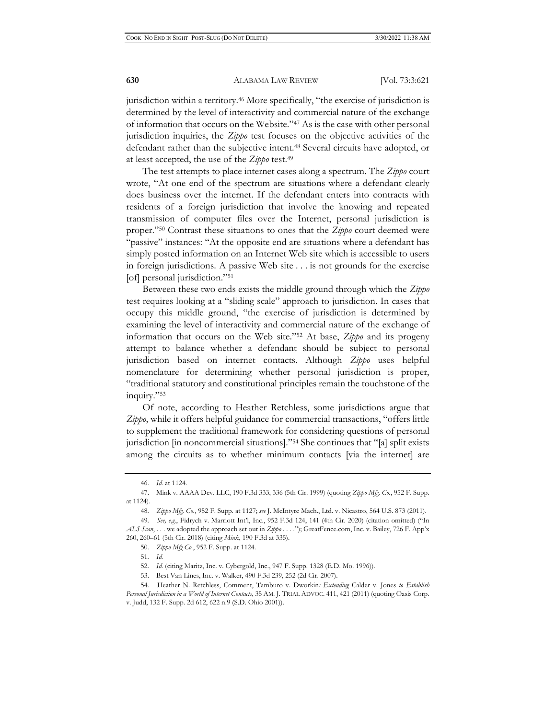jurisdiction within a territory.46 More specifically, "the exercise of jurisdiction is determined by the level of interactivity and commercial nature of the exchange of information that occurs on the Website."47 As is the case with other personal jurisdiction inquiries, the *Zippo* test focuses on the objective activities of the defendant rather than the subjective intent.48 Several circuits have adopted, or at least accepted, the use of the *Zippo* test.49

The test attempts to place internet cases along a spectrum. The *Zippo* court wrote, "At one end of the spectrum are situations where a defendant clearly does business over the internet. If the defendant enters into contracts with residents of a foreign jurisdiction that involve the knowing and repeated transmission of computer files over the Internet, personal jurisdiction is proper."50 Contrast these situations to ones that the *Zippo* court deemed were "passive" instances: "At the opposite end are situations where a defendant has simply posted information on an Internet Web site which is accessible to users in foreign jurisdictions. A passive Web site . . . is not grounds for the exercise [of] personal jurisdiction."51

Between these two ends exists the middle ground through which the *Zippo*  test requires looking at a "sliding scale" approach to jurisdiction. In cases that occupy this middle ground, "the exercise of jurisdiction is determined by examining the level of interactivity and commercial nature of the exchange of information that occurs on the Web site."52 At base, *Zippo* and its progeny attempt to balance whether a defendant should be subject to personal jurisdiction based on internet contacts. Although *Zippo* uses helpful nomenclature for determining whether personal jurisdiction is proper, "traditional statutory and constitutional principles remain the touchstone of the inquiry."53

Of note, according to Heather Retchless, some jurisdictions argue that *Zippo*, while it offers helpful guidance for commercial transactions, "offers little to supplement the traditional framework for considering questions of personal jurisdiction [in noncommercial situations]."54 She continues that "[a] split exists among the circuits as to whether minimum contacts [via the internet] are

50. *Zippo Mfg Co.*, 952 F. Supp. at 1124.

51. *Id.*

<sup>46.</sup> *Id.* at 1124.

<sup>47.</sup> Mink v. AAAA Dev. LLC, 190 F.3d 333, 336 (5th Cir. 1999) (quoting *Zippo Mfg. Co.*, 952 F. Supp. at 1124).

<sup>48.</sup> *Zippo Mfg. Co.*, 952 F. Supp. at 1127; *see* J. McIntyre Mach., Ltd. v. Nicastro, 564 U.S. 873 (2011).

<sup>49.</sup> *See, e.g.*, Fidrych v. Marriott Int'l, Inc., 952 F.3d 124, 141 (4th Cir. 2020) (citation omitted) ("In *ALS Scan*, . . . we adopted the approach set out in *Zippo . . . .*"); GreatFence.com, Inc. v. Bailey, 726 F. App'x 260, 260–61 (5th Cir. 2018) (citing *Mink*, 190 F.3d at 335).

<sup>52.</sup> *Id.* (citing Maritz, Inc. v. Cybergold, Inc., 947 F. Supp. 1328 (E.D. Mo. 1996)).

<sup>53.</sup> Best Van Lines, Inc. v. Walker, 490 F.3d 239, 252 (2d Cir. 2007).

<sup>54.</sup> Heather N. Retchless, Comment, Tamburo v. Dworkin*: Extending* Calder v. Jones *to Establish Personal Jurisdiction in a World of Internet Contacts*, 35 AM. J. TRIAL ADVOC. 411, 421 (2011) (quoting Oasis Corp. v. Judd, 132 F. Supp. 2d 612, 622 n.9 (S.D. Ohio 2001)).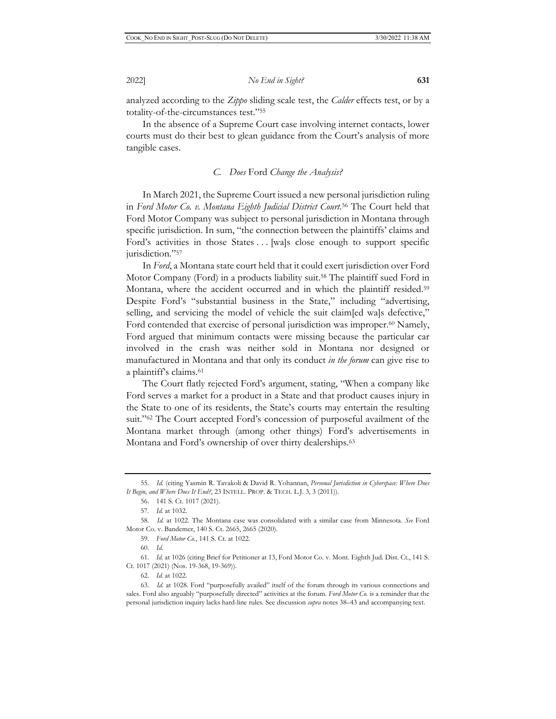analyzed according to the *Zippo* sliding scale test, the *Calder* effects test, or by a totality-of-the-circumstances test."55

In the absence of a Supreme Court case involving internet contacts, lower courts must do their best to glean guidance from the Court's analysis of more tangible cases.

#### *C. Does* Ford *Change the Analysis?*

In March 2021, the Supreme Court issued a new personal jurisdiction ruling in *Ford Motor Co. v. Montana Eighth Judicial District Court*. 56 The Court held that Ford Motor Company was subject to personal jurisdiction in Montana through specific jurisdiction. In sum, "the connection between the plaintiffs' claims and Ford's activities in those States . . . [wa]s close enough to support specific jurisdiction."<sup>57</sup>

In *Ford*, a Montana state court held that it could exert jurisdiction over Ford Motor Company (Ford) in a products liability suit.58 The plaintiff sued Ford in Montana, where the accident occurred and in which the plaintiff resided.<sup>59</sup> Despite Ford's "substantial business in the State," including "advertising, selling, and servicing the model of vehicle the suit claim[ed wa]s defective," Ford contended that exercise of personal jurisdiction was improper.<sup>60</sup> Namely, Ford argued that minimum contacts were missing because the particular car involved in the crash was neither sold in Montana nor designed or manufactured in Montana and that only its conduct *in the forum* can give rise to a plaintiff's claims.61

The Court flatly rejected Ford's argument, stating, "When a company like Ford serves a market for a product in a State and that product causes injury in the State to one of its residents, the State's courts may entertain the resulting suit."62 The Court accepted Ford's concession of purposeful availment of the Montana market through (among other things) Ford's advertisements in Montana and Ford's ownership of over thirty dealerships.<sup>63</sup>

60. *Id.* 

<sup>55.</sup> *Id.* (citing Yasmin R. Tavakoli & David R. Yohannan, *Personal Jurisdiction in Cyberspace: Where Does It Begin, and Where Does It End?*, 23 INTELL. PROP. & TECH. L.J. 3, 3 (2011)).

<sup>56. 141</sup> S. Ct. 1017 (2021).

<sup>57.</sup> *Id.* at 1032.

<sup>58.</sup> *Id.* at 1022. The Montana case was consolidated with a similar case from Minnesota. *See* Ford Motor Co. v. Bandemer, 140 S. Ct. 2665, 2665 (2020).

<sup>59.</sup> *Ford Motor Co.*, 141 S. Ct. at 1022.

<sup>61.</sup> *Id.* at 1026 (citing Brief for Petitioner at 13, Ford Motor Co. v. Mont. Eighth Jud. Dist. Ct., 141 S. Ct. 1017 (2021) (Nos. 19-368, 19-369)).

<sup>62.</sup> *Id.* at 1022.

<sup>63.</sup> *Id.* at 1028. Ford "purposefully availed" itself of the forum through its various connections and sales. Ford also arguably "purposefully directed" activities at the forum. *Ford Motor Co.* is a reminder that the personal jurisdiction inquiry lacks hard-line rules. See discussion *supra* notes 38–43 and accompanying text.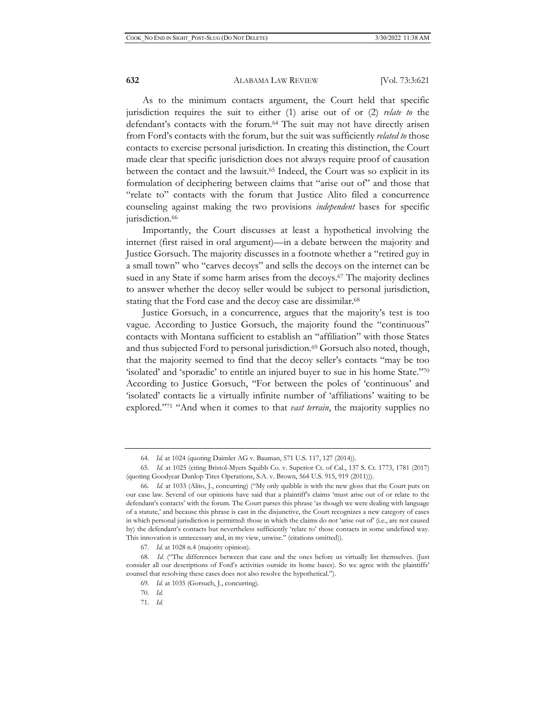As to the minimum contacts argument, the Court held that specific jurisdiction requires the suit to either (1) arise out of or (2) *relate to* the defendant's contacts with the forum.64 The suit may not have directly arisen from Ford's contacts with the forum, but the suit was sufficiently *related to* those contacts to exercise personal jurisdiction. In creating this distinction, the Court made clear that specific jurisdiction does not always require proof of causation between the contact and the lawsuit.<sup>65</sup> Indeed, the Court was so explicit in its formulation of deciphering between claims that "arise out of" and those that "relate to" contacts with the forum that Justice Alito filed a concurrence counseling against making the two provisions *independent* bases for specific jurisdiction.<sup>66</sup>

Importantly, the Court discusses at least a hypothetical involving the internet (first raised in oral argument)—in a debate between the majority and Justice Gorsuch. The majority discusses in a footnote whether a "retired guy in a small town" who "carves decoys" and sells the decoys on the internet can be sued in any State if some harm arises from the decoys.<sup>67</sup> The majority declines to answer whether the decoy seller would be subject to personal jurisdiction, stating that the Ford case and the decoy case are dissimilar.68

Justice Gorsuch, in a concurrence, argues that the majority's test is too vague. According to Justice Gorsuch, the majority found the "continuous" contacts with Montana sufficient to establish an "affiliation" with those States and thus subjected Ford to personal jurisdiction.<sup>69</sup> Gorsuch also noted, though, that the majority seemed to find that the decoy seller's contacts "may be too 'isolated' and 'sporadic' to entitle an injured buyer to sue in his home State."70 According to Justice Gorsuch, "For between the poles of 'continuous' and 'isolated' contacts lie a virtually infinite number of 'affiliations' waiting to be explored."71 "And when it comes to that *vast terrain*, the majority supplies no

<sup>64.</sup> *Id.* at 1024 (quoting Daimler AG v. Bauman, 571 U.S. 117, 127 (2014)).

<sup>65.</sup> *Id.* at 1025 (citing Bristol-Myers Squibb Co. v. Superior Ct. of Cal., 137 S. Ct. 1773, 1781 (2017) (quoting Goodyear Dunlop Tires Operations, S.A. v. Brown, 564 U.S. 915, 919 (2011))).

<sup>66.</sup> *Id.* at 1033 (Alito, J., concurring) ("My only quibble is with the new gloss that the Court puts on our case law. Several of our opinions have said that a plaintiff's claims 'must arise out of or relate to the defendant's contacts' with the forum. The Court parses this phrase 'as though we were dealing with language of a statute,' and because this phrase is cast in the disjunctive, the Court recognizes a new category of cases in which personal jurisdiction is permitted: those in which the claims do not 'arise out of' (i.e., are not caused by) the defendant's contacts but nevertheless sufficiently 'relate to' those contacts in some undefined way. This innovation is unnecessary and, in my view, unwise." (citations omitted)).

<sup>67.</sup> *Id.* at 1028 n.4 (majority opinion).

<sup>68.</sup> *Id.* ("The differences between that case and the ones before us virtually list themselves. (Just consider all our descriptions of Ford's activities outside its home bases). So we agree with the plaintiffs' counsel that resolving these cases does not also resolve the hypothetical.").

<sup>69.</sup> *Id.* at 1035 (Gorsuch, J., concurring).

<sup>70.</sup> *Id.*

<sup>71.</sup> *Id.*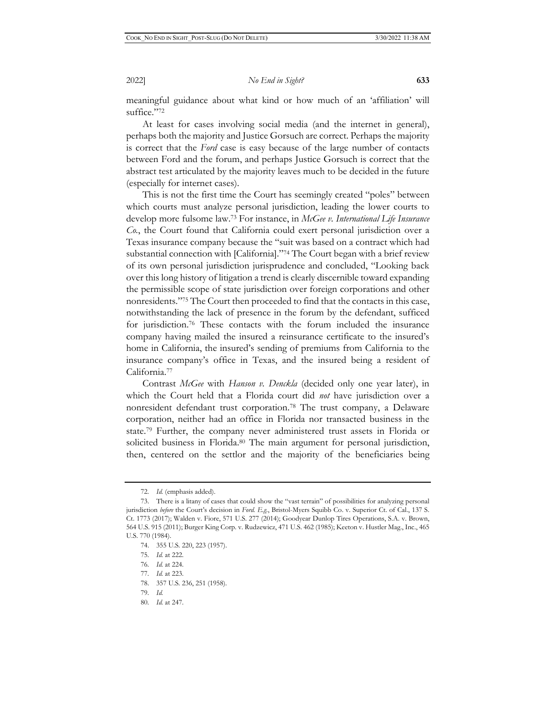meaningful guidance about what kind or how much of an 'affiliation' will suffice."72

At least for cases involving social media (and the internet in general), perhaps both the majority and Justice Gorsuch are correct. Perhaps the majority is correct that the *Ford* case is easy because of the large number of contacts between Ford and the forum, and perhaps Justice Gorsuch is correct that the abstract test articulated by the majority leaves much to be decided in the future (especially for internet cases).

This is not the first time the Court has seemingly created "poles" between which courts must analyze personal jurisdiction, leading the lower courts to develop more fulsome law.73 For instance, in *McGee v. International Life Insurance Co.*, the Court found that California could exert personal jurisdiction over a Texas insurance company because the "suit was based on a contract which had substantial connection with [California]."74 The Court began with a brief review of its own personal jurisdiction jurisprudence and concluded, "Looking back over this long history of litigation a trend is clearly discernible toward expanding the permissible scope of state jurisdiction over foreign corporations and other nonresidents."75 The Court then proceeded to find that the contacts in this case, notwithstanding the lack of presence in the forum by the defendant, sufficed for jurisdiction.76 These contacts with the forum included the insurance company having mailed the insured a reinsurance certificate to the insured's home in California, the insured's sending of premiums from California to the insurance company's office in Texas, and the insured being a resident of California.77

Contrast *McGee* with *Hanson v. Denckla* (decided only one year later), in which the Court held that a Florida court did *not* have jurisdiction over a nonresident defendant trust corporation.78 The trust company, a Delaware corporation, neither had an office in Florida nor transacted business in the state.79 Further, the company never administered trust assets in Florida or solicited business in Florida.<sup>80</sup> The main argument for personal jurisdiction, then, centered on the settlor and the majority of the beneficiaries being

<sup>72.</sup> *Id.* (emphasis added).

<sup>73.</sup> There is a litany of cases that could show the "vast terrain" of possibilities for analyzing personal jurisdiction *before* the Court's decision in *Ford. E.g.*, Bristol-Myers Squibb Co. v. Superior Ct. of Cal., 137 S. Ct. 1773 (2017); Walden v. Fiore, 571 U.S. 277 (2014); Goodyear Dunlop Tires Operations, S.A. v. Brown, 564 U.S. 915 (2011); Burger King Corp. v. Rudzewicz, 471 U.S. 462 (1985); Keeton v. Hustler Mag., Inc., 465 U.S. 770 (1984).

<sup>74. 355</sup> U.S. 220, 223 (1957).

<sup>75.</sup> *Id.* at 222.

<sup>76.</sup> *Id.* at 224.

<sup>77.</sup> *Id.* at 223.

<sup>78. 357</sup> U.S. 236, 251 (1958)*.*

<sup>79.</sup> *Id.*

<sup>80.</sup> *Id.* at 247.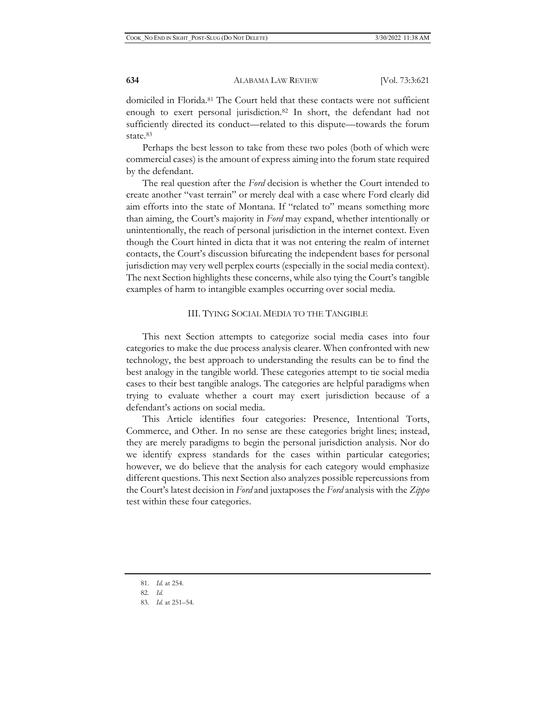domiciled in Florida.81 The Court held that these contacts were not sufficient enough to exert personal jurisdiction.<sup>82</sup> In short, the defendant had not sufficiently directed its conduct—related to this dispute—towards the forum state.<sup>83</sup>

Perhaps the best lesson to take from these two poles (both of which were commercial cases) is the amount of express aiming into the forum state required by the defendant.

The real question after the *Ford* decision is whether the Court intended to create another "vast terrain" or merely deal with a case where Ford clearly did aim efforts into the state of Montana. If "related to" means something more than aiming, the Court's majority in *Ford* may expand, whether intentionally or unintentionally, the reach of personal jurisdiction in the internet context. Even though the Court hinted in dicta that it was not entering the realm of internet contacts, the Court's discussion bifurcating the independent bases for personal jurisdiction may very well perplex courts (especially in the social media context). The next Section highlights these concerns, while also tying the Court's tangible examples of harm to intangible examples occurring over social media.

#### III. TYING SOCIAL MEDIA TO THE TANGIBLE

This next Section attempts to categorize social media cases into four categories to make the due process analysis clearer. When confronted with new technology, the best approach to understanding the results can be to find the best analogy in the tangible world. These categories attempt to tie social media cases to their best tangible analogs. The categories are helpful paradigms when trying to evaluate whether a court may exert jurisdiction because of a defendant's actions on social media.

This Article identifies four categories: Presence, Intentional Torts, Commerce, and Other. In no sense are these categories bright lines; instead, they are merely paradigms to begin the personal jurisdiction analysis. Nor do we identify express standards for the cases within particular categories; however, we do believe that the analysis for each category would emphasize different questions. This next Section also analyzes possible repercussions from the Court's latest decision in *Ford* and juxtaposes the *Ford* analysis with the *Zippo*  test within these four categories.

<sup>81.</sup> *Id.* at 254.

<sup>82.</sup> *Id.*

<sup>83.</sup> *Id.* at 251–54.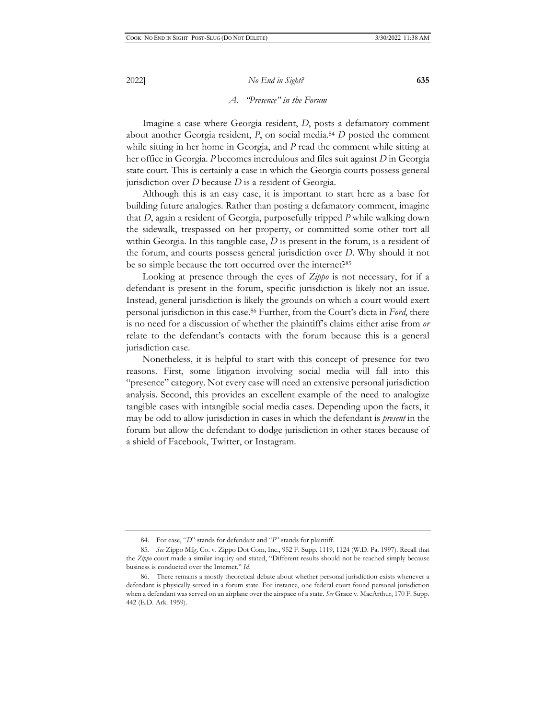## *A. "Presence" in the Forum*

Imagine a case where Georgia resident, *D*, posts a defamatory comment about another Georgia resident, *P*, on social media.84 *D* posted the comment while sitting in her home in Georgia, and *P* read the comment while sitting at her office in Georgia. *P* becomes incredulous and files suit against *D* in Georgia state court. This is certainly a case in which the Georgia courts possess general jurisdiction over *D* because *D* is a resident of Georgia.

Although this is an easy case, it is important to start here as a base for building future analogies. Rather than posting a defamatory comment, imagine that *D*, again a resident of Georgia, purposefully tripped *P* while walking down the sidewalk, trespassed on her property, or committed some other tort all within Georgia. In this tangible case, *D* is present in the forum, is a resident of the forum, and courts possess general jurisdiction over *D*. Why should it not be so simple because the tort occurred over the internet?<sup>85</sup>

Looking at presence through the eyes of *Zippo* is not necessary, for if a defendant is present in the forum, specific jurisdiction is likely not an issue. Instead, general jurisdiction is likely the grounds on which a court would exert personal jurisdiction in this case.86 Further, from the Court's dicta in *Ford*, there is no need for a discussion of whether the plaintiff's claims either arise from *or*  relate to the defendant's contacts with the forum because this is a general jurisdiction case.

Nonetheless, it is helpful to start with this concept of presence for two reasons. First, some litigation involving social media will fall into this "presence" category. Not every case will need an extensive personal jurisdiction analysis. Second, this provides an excellent example of the need to analogize tangible cases with intangible social media cases. Depending upon the facts, it may be odd to allow jurisdiction in cases in which the defendant is *present* in the forum but allow the defendant to dodge jurisdiction in other states because of a shield of Facebook, Twitter, or Instagram.

<sup>84.</sup> For ease, "*D*" stands for defendant and "*P*" stands for plaintiff.

<sup>85.</sup> *See* Zippo Mfg. Co. v. Zippo Dot Com, Inc., 952 F. Supp. 1119, 1124 (W.D. Pa. 1997). Recall that the *Zippo* court made a similar inquiry and stated, "Different results should not be reached simply because business is conducted over the Internet." *Id.* 

<sup>86.</sup> There remains a mostly theoretical debate about whether personal jurisdiction exists whenever a defendant is physically served in a forum state. For instance, one federal court found personal jurisdiction when a defendant was served on an airplane over the airspace of a state. *See* Grace v. MacArthur, 170 F. Supp. 442 (E.D. Ark. 1959).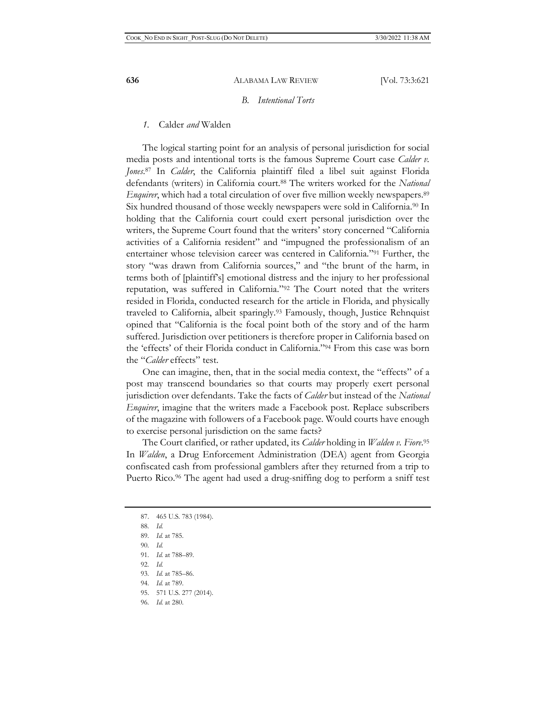### *B. Intentional Torts*

#### *1.* Calder *and* Walden

The logical starting point for an analysis of personal jurisdiction for social media posts and intentional torts is the famous Supreme Court case *Calder v. Jones*. 87 In *Calder*, the California plaintiff filed a libel suit against Florida defendants (writers) in California court.88 The writers worked for the *National Enquirer*, which had a total circulation of over five million weekly newspapers.<sup>89</sup> Six hundred thousand of those weekly newspapers were sold in California.90 In holding that the California court could exert personal jurisdiction over the writers, the Supreme Court found that the writers' story concerned "California activities of a California resident" and "impugned the professionalism of an entertainer whose television career was centered in California."91 Further, the story "was drawn from California sources," and "the brunt of the harm, in terms both of [plaintiff's] emotional distress and the injury to her professional reputation, was suffered in California."92 The Court noted that the writers resided in Florida, conducted research for the article in Florida, and physically traveled to California, albeit sparingly.93 Famously, though, Justice Rehnquist opined that "California is the focal point both of the story and of the harm suffered. Jurisdiction over petitioners is therefore proper in California based on the 'effects' of their Florida conduct in California."94 From this case was born the "*Calder* effects" test.

One can imagine, then, that in the social media context, the "effects" of a post may transcend boundaries so that courts may properly exert personal jurisdiction over defendants. Take the facts of *Calder* but instead of the *National Enquirer*, imagine that the writers made a Facebook post. Replace subscribers of the magazine with followers of a Facebook page. Would courts have enough to exercise personal jurisdiction on the same facts?

The Court clarified, or rather updated, its *Calder* holding in *Walden v. Fiore*. 95 In *Walden*, a Drug Enforcement Administration (DEA) agent from Georgia confiscated cash from professional gamblers after they returned from a trip to Puerto Rico.<sup>96</sup> The agent had used a drug-sniffing dog to perform a sniff test

- 89. *Id.* at 785.
- 90. *Id.*
- 91. *Id.* at 788–89.
- 92. *Id.*
- 93. *Id.* at 785–86.
- 94. *Id.* at 789.
- 95. 571 U.S. 277 (2014).
- 96. *Id.* at 280.

<sup>87. 465</sup> U.S. 783 (1984).

<sup>88.</sup> *Id.*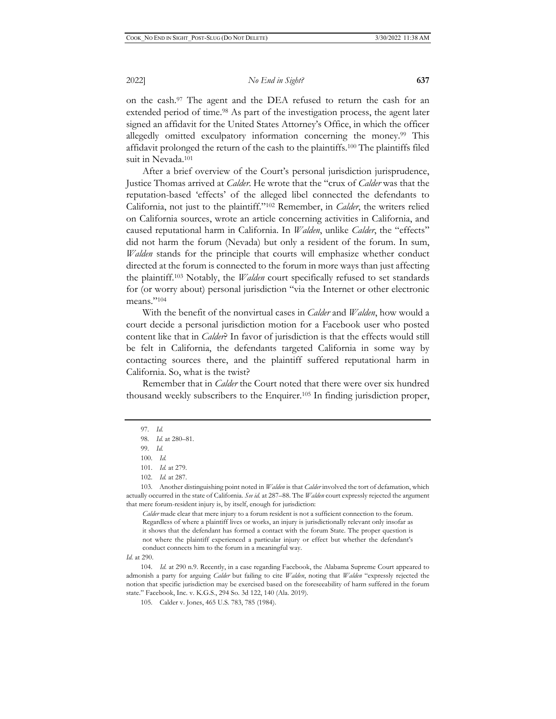on the cash.97 The agent and the DEA refused to return the cash for an extended period of time.<sup>98</sup> As part of the investigation process, the agent later signed an affidavit for the United States Attorney's Office, in which the officer allegedly omitted exculpatory information concerning the money.<sup>99</sup> This affidavit prolonged the return of the cash to the plaintiffs.100 The plaintiffs filed suit in Nevada.101

After a brief overview of the Court's personal jurisdiction jurisprudence, Justice Thomas arrived at *Calder*. He wrote that the "crux of *Calder* was that the reputation-based 'effects' of the alleged libel connected the defendants to California, not just to the plaintiff."102 Remember, in *Calder*, the writers relied on California sources, wrote an article concerning activities in California, and caused reputational harm in California. In *Walden*, unlike *Calder*, the "effects" did not harm the forum (Nevada) but only a resident of the forum. In sum, *Walden* stands for the principle that courts will emphasize whether conduct directed at the forum is connected to the forum in more ways than just affecting the plaintiff.103 Notably, the *Walden* court specifically refused to set standards for (or worry about) personal jurisdiction "via the Internet or other electronic means."104

With the benefit of the nonvirtual cases in *Calder* and *Walden*, how would a court decide a personal jurisdiction motion for a Facebook user who posted content like that in *Calder*? In favor of jurisdiction is that the effects would still be felt in California, the defendants targeted California in some way by contacting sources there, and the plaintiff suffered reputational harm in California. So, what is the twist?

Remember that in *Calder* the Court noted that there were over six hundred thousand weekly subscribers to the Enquirer.105 In finding jurisdiction proper,

103. Another distinguishing point noted in *Walden* is that *Calder* involved the tort of defamation, which actually occurred in the state of California. *See id.* at 287–88. The *Walden* court expressly rejected the argument that mere forum-resident injury is, by itself, enough for jurisdiction:

*Calder* made clear that mere injury to a forum resident is not a sufficient connection to the forum. Regardless of where a plaintiff lives or works, an injury is jurisdictionally relevant only insofar as it shows that the defendant has formed a contact with the forum State. The proper question is not where the plaintiff experienced a particular injury or effect but whether the defendant's conduct connects him to the forum in a meaningful way.

*Id.* at 290.

104. *Id.* at 290 n.9. Recently, in a case regarding Facebook, the Alabama Supreme Court appeared to admonish a party for arguing *Calder* but failing to cite *Walden*, noting that *Walden* "expressly rejected the notion that specific jurisdiction may be exercised based on the foreseeability of harm suffered in the forum state." Facebook, Inc. v. K.G.S., 294 So. 3d 122, 140 (Ala. 2019).

<sup>97.</sup> *Id.*

<sup>98.</sup> *Id.* at 280–81.

<sup>99.</sup> *Id.*

<sup>100.</sup> *Id.*

<sup>101.</sup> *Id.* at 279.

<sup>102.</sup> *Id.* at 287.

<sup>105.</sup> Calder v. Jones, 465 U.S. 783, 785 (1984).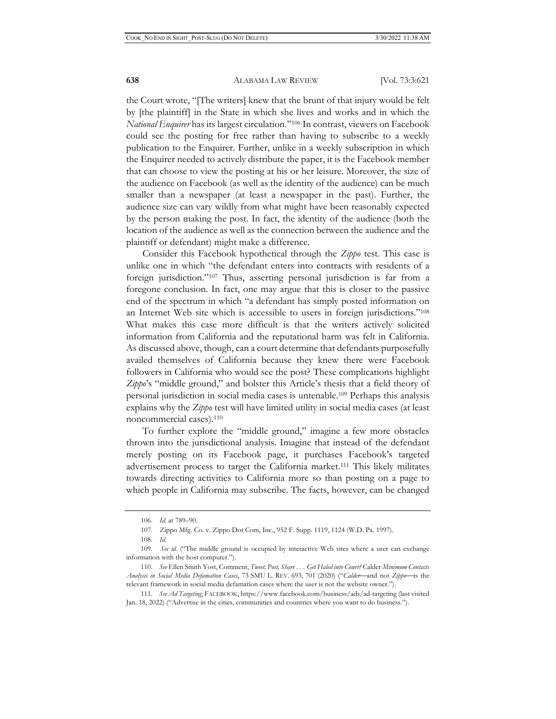the Court wrote, "[The writers] knew that the brunt of that injury would be felt by [the plaintiff] in the State in which she lives and works and in which the *National Enquirer* has its largest circulation."106 In contrast, viewers on Facebook could see the posting for free rather than having to subscribe to a weekly publication to the Enquirer. Further, unlike in a weekly subscription in which the Enquirer needed to actively distribute the paper, it is the Facebook member that can choose to view the posting at his or her leisure. Moreover, the size of the audience on Facebook (as well as the identity of the audience) can be much smaller than a newspaper (at least a newspaper in the past). Further, the audience size can vary wildly from what might have been reasonably expected by the person making the post. In fact, the identity of the audience (both the location of the audience as well as the connection between the audience and the plaintiff or defendant) might make a difference.

Consider this Facebook hypothetical through the *Zippo* test. This case is unlike one in which "the defendant enters into contracts with residents of a foreign jurisdiction."107 Thus, asserting personal jurisdiction is far from a foregone conclusion. In fact, one may argue that this is closer to the passive end of the spectrum in which "a defendant has simply posted information on an Internet Web site which is accessible to users in foreign jurisdictions."108 What makes this case more difficult is that the writers actively solicited information from California and the reputational harm was felt in California. As discussed above, though, can a court determine that defendants purposefully availed themselves of California because they knew there were Facebook followers in California who would see the post? These complications highlight *Zippo*'s "middle ground," and bolster this Article's thesis that a field theory of personal jurisdiction in social media cases is untenable.109 Perhaps this analysis explains why the *Zippo* test will have limited utility in social media cases (at least noncommercial cases).110

To further explore the "middle ground," imagine a few more obstacles thrown into the jurisdictional analysis. Imagine that instead of the defendant merely posting on its Facebook page, it purchases Facebook's targeted advertisement process to target the California market.111 This likely militates towards directing activities to California more so than posting on a page to which people in California may subscribe. The facts, however, can be changed

<sup>106.</sup> *Id.* at 789–90.

<sup>107.</sup> Zippo Mfg. Co. v. Zippo Dot Com, Inc., 952 F. Supp. 1119, 1124 (W.D. Pa. 1997).

<sup>108.</sup> *Id.*

<sup>109.</sup> *See id.* ("The middle ground is occupied by interactive Web sites where a user can exchange information with the host computer.").

<sup>110.</sup> *See* Ellen Smith Yost, Comment, *Tweet, Post, Share . . . Get Haled into Court?* Calder *Minimum Contacts Analysis in Social Media Defamation Cases*, 73 SMU L. REV. 693, 701 (2020) ("*Calder*⎯and not *Zippo*⎯is the relevant framework in social media defamation cases where the user is not the website owner.").

<sup>111.</sup> *See Ad Targeting*, FACEBOOK, https://www.facebook.com/business/ads/ad-targeting (last visited Jan. 18, 2022) ("Advertise in the cities, communities and countries where you want to do business.").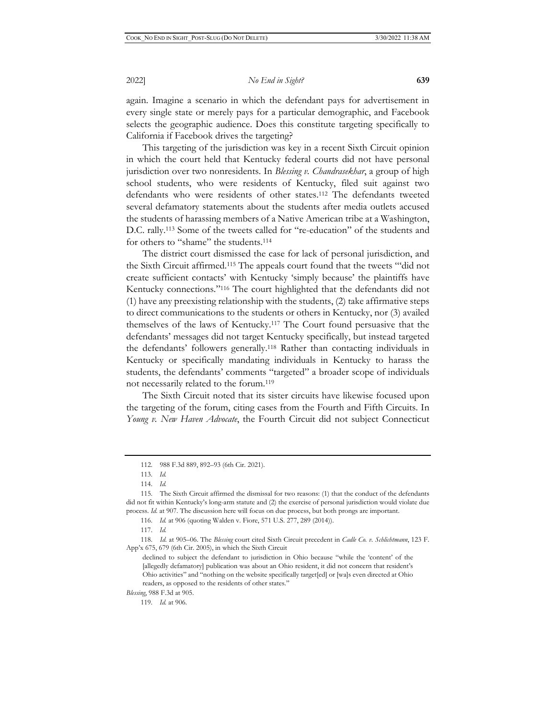again. Imagine a scenario in which the defendant pays for advertisement in every single state or merely pays for a particular demographic, and Facebook selects the geographic audience. Does this constitute targeting specifically to California if Facebook drives the targeting?

This targeting of the jurisdiction was key in a recent Sixth Circuit opinion in which the court held that Kentucky federal courts did not have personal jurisdiction over two nonresidents. In *Blessing v. Chandrasekhar*, a group of high school students, who were residents of Kentucky, filed suit against two defendants who were residents of other states.112 The defendants tweeted several defamatory statements about the students after media outlets accused the students of harassing members of a Native American tribe at a Washington, D.C. rally.113 Some of the tweets called for "re-education" of the students and for others to "shame" the students.114

The district court dismissed the case for lack of personal jurisdiction, and the Sixth Circuit affirmed.115 The appeals court found that the tweets "'did not create sufficient contacts' with Kentucky 'simply because' the plaintiffs have Kentucky connections."116 The court highlighted that the defendants did not (1) have any preexisting relationship with the students, (2) take affirmative steps to direct communications to the students or others in Kentucky, nor (3) availed themselves of the laws of Kentucky.117 The Court found persuasive that the defendants' messages did not target Kentucky specifically, but instead targeted the defendants' followers generally.118 Rather than contacting individuals in Kentucky or specifically mandating individuals in Kentucky to harass the students, the defendants' comments "targeted" a broader scope of individuals not necessarily related to the forum.119

The Sixth Circuit noted that its sister circuits have likewise focused upon the targeting of the forum, citing cases from the Fourth and Fifth Circuits. In *Young v. New Haven Advocate*, the Fourth Circuit did not subject Connecticut

116. *Id.* at 906 (quoting Walden v. Fiore, 571 U.S. 277, 289 (2014)).

<sup>112. 988</sup> F.3d 889, 892–93 (6th Cir. 2021).

<sup>113.</sup> *Id.*

<sup>114.</sup> *Id.*

<sup>115.</sup> The Sixth Circuit affirmed the dismissal for two reasons: (1) that the conduct of the defendants did not fit within Kentucky's long-arm statute and (2) the exercise of personal jurisdiction would violate due process. *Id.* at 907. The discussion here will focus on due process, but both prongs are important.

<sup>117.</sup> *Id.*

<sup>118.</sup> *Id.* at 905–06. The *Blessing* court cited Sixth Circuit precedent in *Cadle Co. v. Schlichtmann*, 123 F. App'x 675, 679 (6th Cir. 2005), in which the Sixth Circuit

declined to subject the defendant to jurisdiction in Ohio because "while the 'content' of the [allegedly defamatory] publication was about an Ohio resident, it did not concern that resident's Ohio activities" and "nothing on the website specifically target[ed] or [wa]s even directed at Ohio readers, as opposed to the residents of other states."

*Blessing*, 988 F.3d at 905.

<sup>119.</sup> *Id.* at 906.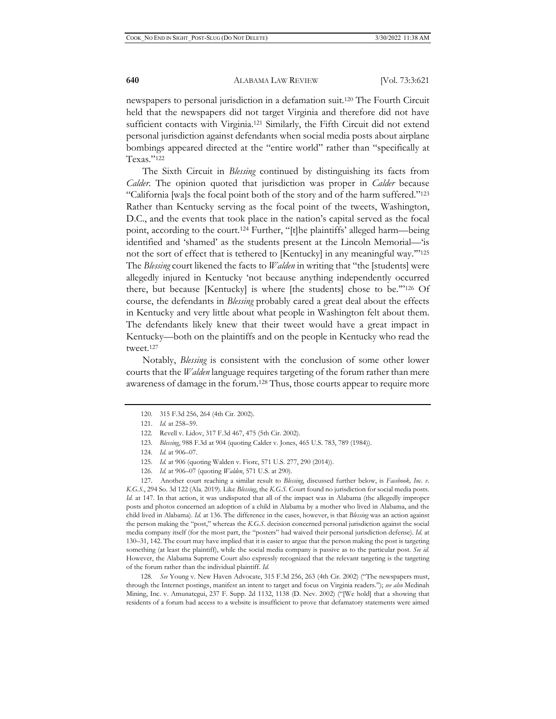newspapers to personal jurisdiction in a defamation suit.120 The Fourth Circuit held that the newspapers did not target Virginia and therefore did not have sufficient contacts with Virginia.121 Similarly, the Fifth Circuit did not extend personal jurisdiction against defendants when social media posts about airplane bombings appeared directed at the "entire world" rather than "specifically at Texas."122

The Sixth Circuit in *Blessing* continued by distinguishing its facts from *Calder*. The opinion quoted that jurisdiction was proper in *Calder* because "California [wa]s the focal point both of the story and of the harm suffered."123 Rather than Kentucky serving as the focal point of the tweets, Washington, D.C., and the events that took place in the nation's capital served as the focal point, according to the court.124 Further, "[t]he plaintiffs' alleged harm—being identified and 'shamed' as the students present at the Lincoln Memorial—'is not the sort of effect that is tethered to [Kentucky] in any meaningful way.'"125 The *Blessing* court likened the facts to *Walden* in writing that "the [students] were allegedly injured in Kentucky 'not because anything independently occurred there, but because [Kentucky] is where [the students] chose to be.'"126 Of course, the defendants in *Blessing* probably cared a great deal about the effects in Kentucky and very little about what people in Washington felt about them. The defendants likely knew that their tweet would have a great impact in Kentucky—both on the plaintiffs and on the people in Kentucky who read the tweet.127

Notably, *Blessing* is consistent with the conclusion of some other lower courts that the *Walden* language requires targeting of the forum rather than mere awareness of damage in the forum.128 Thus, those courts appear to require more

127. Another court reaching a similar result to *Blessing*, discussed further below, is *Facebook, Inc. v. K.G.S.*, 294 So. 3d 122 (Ala. 2019). Like *Blessing*, the *K.G.S.* Court found no jurisdiction for social media posts. *Id.* at 147. In that action, it was undisputed that all of the impact was in Alabama (the allegedly improper posts and photos concerned an adoption of a child in Alabama by a mother who lived in Alabama, and the child lived in Alabama). *Id.* at 136. The difference in the cases, however, is that *Blessing* was an action against the person making the "post," whereas the *K.G.S.* decision concerned personal jurisdiction against the social media company itself (for the most part, the "posters" had waived their personal jurisdiction defense). *Id.* at 130–31, 142. The court may have implied that it is easier to argue that the person making the post is targeting something (at least the plaintiff), while the social media company is passive as to the particular post. *See id.* However, the Alabama Supreme Court also expressly recognized that the relevant targeting is the targeting of the forum rather than the individual plaintiff. *Id.* 

128*. See* Young v. New Haven Advocate, 315 F.3d 256, 263 (4th Cir. 2002) ("The newspapers must, through the Internet postings, manifest an intent to target and focus on Virginia readers."); *see also* Medinah Mining, Inc. v. Amunategui, 237 F. Supp. 2d 1132, 1138 (D. Nev. 2002) ("[We hold] that a showing that residents of a forum had access to a website is insufficient to prove that defamatory statements were aimed

<sup>120. 315</sup> F.3d 256, 264 (4th Cir. 2002).

<sup>121.</sup> *Id.* at 258–59.

<sup>122.</sup> Revell v. Lidov, 317 F.3d 467, 475 (5th Cir. 2002).

<sup>123.</sup> *Blessing*, 988 F.3d at 904 (quoting Calder v. Jones, 465 U.S. 783, 789 (1984)).

<sup>124.</sup> *Id.* at 906–07.

<sup>125.</sup> *Id.* at 906 (quoting Walden v. Fiore, 571 U.S. 277, 290 (2014)).

<sup>126.</sup> *Id.* at 906–07 (quoting *Walden*, 571 U.S. at 290).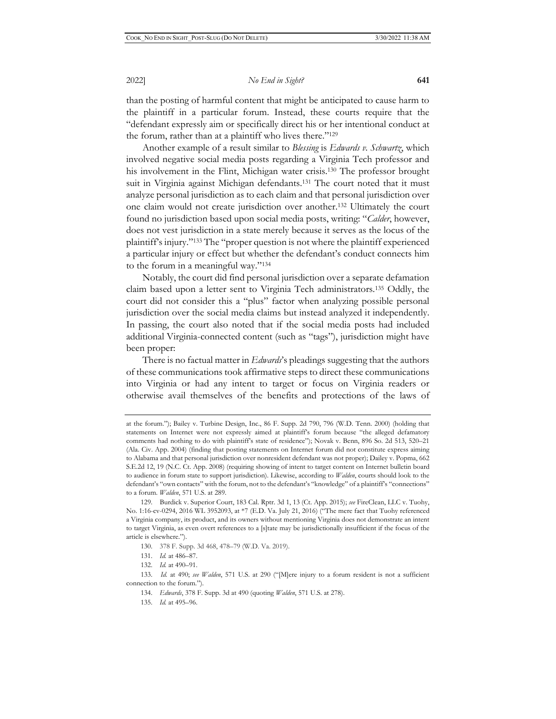than the posting of harmful content that might be anticipated to cause harm to the plaintiff in a particular forum. Instead, these courts require that the "defendant expressly aim or specifically direct his or her intentional conduct at the forum, rather than at a plaintiff who lives there."129

Another example of a result similar to *Blessing* is *Edwards v. Schwartz*, which involved negative social media posts regarding a Virginia Tech professor and his involvement in the Flint, Michigan water crisis.<sup>130</sup> The professor brought suit in Virginia against Michigan defendants.<sup>131</sup> The court noted that it must analyze personal jurisdiction as to each claim and that personal jurisdiction over one claim would not create jurisdiction over another.132 Ultimately the court found no jurisdiction based upon social media posts, writing: "*Calder*, however, does not vest jurisdiction in a state merely because it serves as the locus of the plaintiff's injury."133 The "proper question is not where the plaintiff experienced a particular injury or effect but whether the defendant's conduct connects him to the forum in a meaningful way."134

Notably, the court did find personal jurisdiction over a separate defamation claim based upon a letter sent to Virginia Tech administrators.135 Oddly, the court did not consider this a "plus" factor when analyzing possible personal jurisdiction over the social media claims but instead analyzed it independently. In passing, the court also noted that if the social media posts had included additional Virginia-connected content (such as "tags"), jurisdiction might have been proper:

There is no factual matter in *Edwards*'s pleadings suggesting that the authors of these communications took affirmative steps to direct these communications into Virginia or had any intent to target or focus on Virginia readers or otherwise avail themselves of the benefits and protections of the laws of

- 134. *Edwards*, 378 F. Supp. 3d at 490 (quoting *Walden*, 571 U.S. at 278).
- 135. *Id.* at 495–96.

at the forum."); Bailey v. Turbine Design, Inc., 86 F. Supp. 2d 790, 796 (W.D. Tenn. 2000) (holding that statements on Internet were not expressly aimed at plaintiff's forum because "the alleged defamatory comments had nothing to do with plaintiff's state of residence"); Novak v. Benn, 896 So. 2d 513, 520–21 (Ala. Civ. App. 2004) (finding that posting statements on Internet forum did not constitute express aiming to Alabama and that personal jurisdiction over nonresident defendant was not proper); Dailey v. Popma, 662 S.E.2d 12, 19 (N.C. Ct. App. 2008) (requiring showing of intent to target content on Internet bulletin board to audience in forum state to support jurisdiction). Likewise, according to *Walden*, courts should look to the defendant's "own contacts" with the forum, not to the defendant's "knowledge" of a plaintiff's "connections" to a forum*. Walden*, 571 U.S. at 289.

<sup>129.</sup> Burdick v. Superior Court, 183 Cal. Rptr. 3d 1, 13 (Ct. App. 2015); *see* FireClean, LLC v. Tuohy, No. 1:16-cv-0294, 2016 WL 3952093, at \*7 (E.D. Va. July 21, 2016) ("The mere fact that Tuohy referenced a Virginia company, its product, and its owners without mentioning Virginia does not demonstrate an intent to target Virginia, as even overt references to a [s]tate may be jurisdictionally insufficient if the focus of the article is elsewhere.").

<sup>130. 378</sup> F. Supp. 3d 468, 478–79 (W.D. Va. 2019).

<sup>131.</sup> *Id.* at 486–87.

<sup>132.</sup> *Id.* at 490–91.

<sup>133.</sup> *Id.* at 490; *see Walden*, 571 U.S. at 290 ("[M]ere injury to a forum resident is not a sufficient connection to the forum.").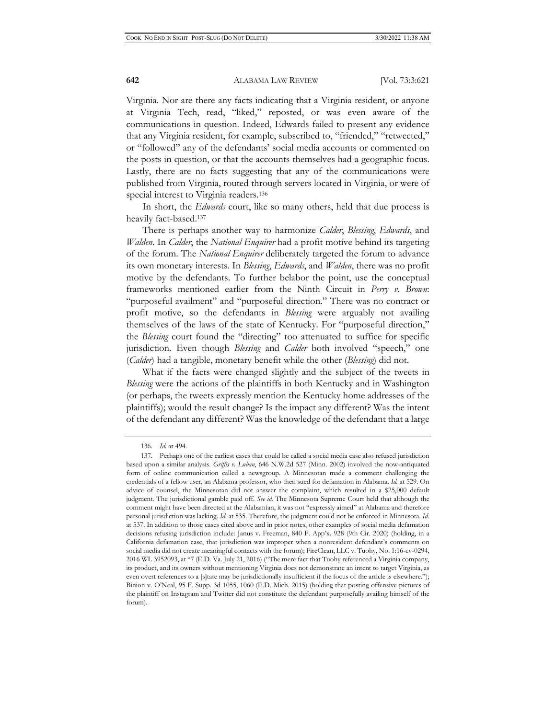Virginia. Nor are there any facts indicating that a Virginia resident, or anyone at Virginia Tech, read, "liked," reposted, or was even aware of the communications in question. Indeed, Edwards failed to present any evidence that any Virginia resident, for example, subscribed to, "friended," "retweeted," or "followed" any of the defendants' social media accounts or commented on the posts in question, or that the accounts themselves had a geographic focus. Lastly, there are no facts suggesting that any of the communications were published from Virginia, routed through servers located in Virginia, or were of special interest to Virginia readers.136

In short, the *Edwards* court, like so many others, held that due process is heavily fact-based.137

There is perhaps another way to harmonize *Calder*, *Blessing*, *Edwards*, and *Walden*. In *Calder*, the *National Enquirer* had a profit motive behind its targeting of the forum. The *National Enquirer* deliberately targeted the forum to advance its own monetary interests. In *Blessing*, *Edwards*, and *Walden*, there was no profit motive by the defendants. To further belabor the point, use the conceptual frameworks mentioned earlier from the Ninth Circuit in *Perry v. Brown*: "purposeful availment" and "purposeful direction." There was no contract or profit motive, so the defendants in *Blessing* were arguably not availing themselves of the laws of the state of Kentucky. For "purposeful direction," the *Blessing* court found the "directing" too attenuated to suffice for specific jurisdiction. Even though *Blessing* and *Calder* both involved "speech," one (*Calder*) had a tangible, monetary benefit while the other (*Blessing*) did not.

What if the facts were changed slightly and the subject of the tweets in *Blessing* were the actions of the plaintiffs in both Kentucky and in Washington (or perhaps, the tweets expressly mention the Kentucky home addresses of the plaintiffs); would the result change? Is the impact any different? Was the intent of the defendant any different? Was the knowledge of the defendant that a large

<sup>136.</sup> *Id.* at 494.

<sup>137.</sup> Perhaps one of the earliest cases that could be called a social media case also refused jurisdiction based upon a similar analysis. *Griffis v. Luban*, 646 N.W.2d 527 (Minn. 2002) involved the now-antiquated form of online communication called a newsgroup. A Minnesotan made a comment challenging the credentials of a fellow user, an Alabama professor, who then sued for defamation in Alabama. *Id.* at 529. On advice of counsel, the Minnesotan did not answer the complaint, which resulted in a \$25,000 default judgment. The jurisdictional gamble paid off. *See id.* The Minnesota Supreme Court held that although the comment might have been directed at the Alabamian, it was not "expressly aimed" at Alabama and therefore personal jurisdiction was lacking. *Id.* at 535. Therefore, the judgment could not be enforced in Minnesota. *Id.*  at 537. In addition to those cases cited above and in prior notes, other examples of social media defamation decisions refusing jurisdiction include: Janus v. Freeman, 840 F. App'x. 928 (9th Cir. 2020) (holding, in a California defamation case, that jurisdiction was improper when a nonresident defendant's comments on social media did not create meaningful contacts with the forum); FireClean, LLC v. Tuohy, No. 1:16-cv-0294, 2016 WL 3952093, at \*7 (E.D. Va. July 21, 2016) ("The mere fact that Tuohy referenced a Virginia company, its product, and its owners without mentioning Virginia does not demonstrate an intent to target Virginia, as even overt references to a [s]tate may be jurisdictionally insufficient if the focus of the article is elsewhere."); Binion v. O'Neal, 95 F. Supp. 3d 1055, 1060 (E.D. Mich. 2015) (holding that posting offensive pictures of the plaintiff on Instagram and Twitter did not constitute the defendant purposefully availing himself of the forum).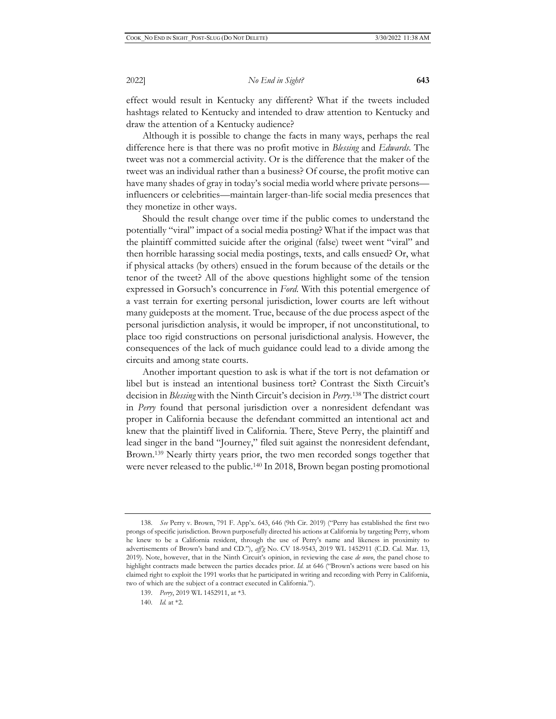effect would result in Kentucky any different? What if the tweets included hashtags related to Kentucky and intended to draw attention to Kentucky and draw the attention of a Kentucky audience?

Although it is possible to change the facts in many ways, perhaps the real difference here is that there was no profit motive in *Blessing* and *Edwards*. The tweet was not a commercial activity. Or is the difference that the maker of the tweet was an individual rather than a business? Of course, the profit motive can have many shades of gray in today's social media world where private persons influencers or celebrities—maintain larger-than-life social media presences that they monetize in other ways.

Should the result change over time if the public comes to understand the potentially "viral" impact of a social media posting? What if the impact was that the plaintiff committed suicide after the original (false) tweet went "viral" and then horrible harassing social media postings, texts, and calls ensued? Or, what if physical attacks (by others) ensued in the forum because of the details or the tenor of the tweet? All of the above questions highlight some of the tension expressed in Gorsuch's concurrence in *Ford*. With this potential emergence of a vast terrain for exerting personal jurisdiction, lower courts are left without many guideposts at the moment. True, because of the due process aspect of the personal jurisdiction analysis, it would be improper, if not unconstitutional, to place too rigid constructions on personal jurisdictional analysis. However, the consequences of the lack of much guidance could lead to a divide among the circuits and among state courts.

Another important question to ask is what if the tort is not defamation or libel but is instead an intentional business tort? Contrast the Sixth Circuit's decision in *Blessing* with the Ninth Circuit's decision in *Perry*. 138 The district court in *Perry* found that personal jurisdiction over a nonresident defendant was proper in California because the defendant committed an intentional act and knew that the plaintiff lived in California. There, Steve Perry, the plaintiff and lead singer in the band "Journey," filed suit against the nonresident defendant, Brown.139 Nearly thirty years prior, the two men recorded songs together that were never released to the public.<sup>140</sup> In 2018, Brown began posting promotional

<sup>138.</sup> *See* Perry v. Brown, 791 F. App'x. 643, 646 (9th Cir. 2019) ("Perry has established the first two prongs of specific jurisdiction. Brown purposefully directed his actions at California by targeting Perry, whom he knew to be a California resident, through the use of Perry's name and likeness in proximity to advertisements of Brown's band and CD."), *aff'g* No. CV 18-9543, 2019 WL 1452911 (C.D. Cal. Mar. 13, 2019). Note, however, that in the Ninth Circuit's opinion, in reviewing the case *de novo*, the panel chose to highlight contracts made between the parties decades prior. *Id.* at 646 ("Brown's actions were based on his claimed right to exploit the 1991 works that he participated in writing and recording with Perry in California, two of which are the subject of a contract executed in California.").

<sup>139.</sup> *Perry*, 2019 WL 1452911, at \*3.

<sup>140.</sup> *Id.* at \*2.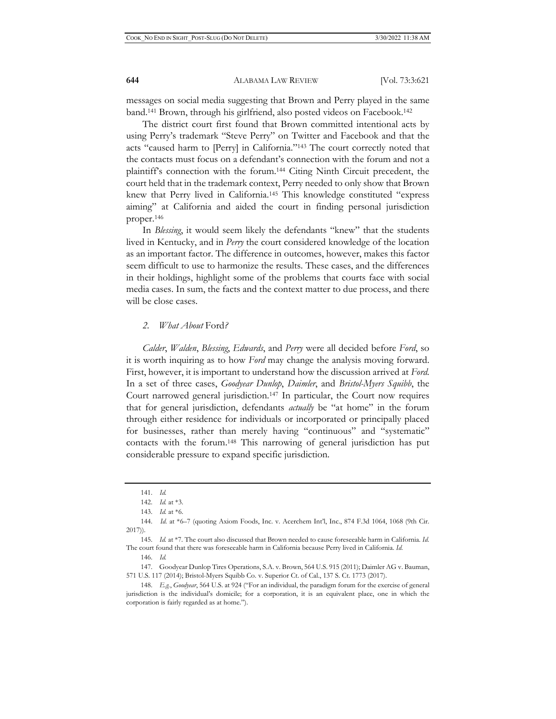messages on social media suggesting that Brown and Perry played in the same band.141 Brown, through his girlfriend, also posted videos on Facebook.142

The district court first found that Brown committed intentional acts by using Perry's trademark "Steve Perry" on Twitter and Facebook and that the acts "caused harm to [Perry] in California."143 The court correctly noted that the contacts must focus on a defendant's connection with the forum and not a plaintiff's connection with the forum.144 Citing Ninth Circuit precedent, the court held that in the trademark context, Perry needed to only show that Brown knew that Perry lived in California.145 This knowledge constituted "express aiming" at California and aided the court in finding personal jurisdiction proper.146

In *Blessing*, it would seem likely the defendants "knew" that the students lived in Kentucky, and in *Perry* the court considered knowledge of the location as an important factor. The difference in outcomes, however, makes this factor seem difficult to use to harmonize the results. These cases, and the differences in their holdings, highlight some of the problems that courts face with social media cases. In sum, the facts and the context matter to due process, and there will be close cases.

#### *2. What About* Ford*?*

*Calder*, *Walden*, *Blessing*, *Edwards*, and *Perry* were all decided before *Ford*, so it is worth inquiring as to how *Ford* may change the analysis moving forward. First, however, it is important to understand how the discussion arrived at *Ford*. In a set of three cases, *Goodyear Dunlop*, *Daimler*, and *Bristol-Myers Squibb*, the Court narrowed general jurisdiction.147 In particular, the Court now requires that for general jurisdiction, defendants *actually* be "at home" in the forum through either residence for individuals or incorporated or principally placed for businesses, rather than merely having "continuous" and "systematic" contacts with the forum.148 This narrowing of general jurisdiction has put considerable pressure to expand specific jurisdiction.

<sup>141.</sup> *Id.*

<sup>142.</sup> *Id.* at \*3.

<sup>143.</sup> *Id.* at \*6.

<sup>144.</sup> *Id.* at \*6–7 (quoting Axiom Foods, Inc. v. Acerchem Int'l, Inc., 874 F.3d 1064, 1068 (9th Cir. 2017)).

<sup>145.</sup> *Id.* at \*7. The court also discussed that Brown needed to cause foreseeable harm in California. *Id.*  The court found that there was foreseeable harm in California because Perry lived in California. *Id.* 

<sup>146.</sup> *Id.*

<sup>147.</sup> Goodyear Dunlop Tires Operations, S.A. v. Brown, 564 U.S. 915 (2011); Daimler AG v. Bauman, 571 U.S. 117 (2014); Bristol-Myers Squibb Co. v. Superior Ct. of Cal., 137 S. Ct. 1773 (2017).

<sup>148.</sup> *E.g.*, *Goodyear*, 564 U.S. at 924 ("For an individual, the paradigm forum for the exercise of general jurisdiction is the individual's domicile; for a corporation, it is an equivalent place, one in which the corporation is fairly regarded as at home.").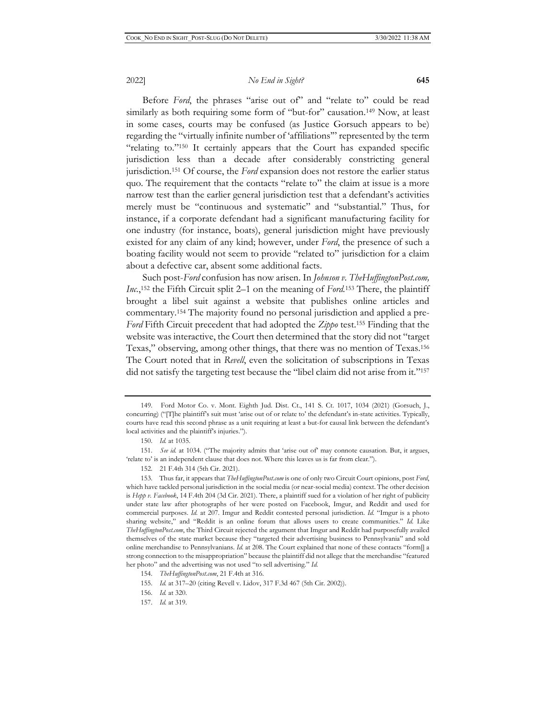Before *Ford*, the phrases "arise out of" and "relate to" could be read similarly as both requiring some form of "but-for" causation.<sup>149</sup> Now, at least in some cases, courts may be confused (as Justice Gorsuch appears to be) regarding the "virtually infinite number of 'affiliations'" represented by the term "relating to."150 It certainly appears that the Court has expanded specific jurisdiction less than a decade after considerably constricting general jurisdiction.151 Of course, the *Ford* expansion does not restore the earlier status quo. The requirement that the contacts "relate to" the claim at issue is a more narrow test than the earlier general jurisdiction test that a defendant's activities merely must be "continuous and systematic" and "substantial." Thus, for instance, if a corporate defendant had a significant manufacturing facility for one industry (for instance, boats), general jurisdiction might have previously existed for any claim of any kind; however, under *Ford*, the presence of such a boating facility would not seem to provide "related to" jurisdiction for a claim about a defective car, absent some additional facts.

Such post-*Ford* confusion has now arisen. In *Johnson v. TheHuffingtonPost.com, Inc.*, 152 the Fifth Circuit split 2–1 on the meaning of *Ford.*153 There, the plaintiff brought a libel suit against a website that publishes online articles and commentary.154 The majority found no personal jurisdiction and applied a pre-*Ford* Fifth Circuit precedent that had adopted the *Zippo* test.155 Finding that the website was interactive, the Court then determined that the story did not "target Texas," observing, among other things, that there was no mention of Texas.156 The Court noted that in *Revell*, even the solicitation of subscriptions in Texas did not satisfy the targeting test because the "libel claim did not arise from it."<sup>157</sup>

151. *See id.* at 1034. ("The majority admits that 'arise out of' may connote causation. But, it argues, 'relate to' is an independent clause that does not. Where this leaves us is far from clear.").

<sup>149.</sup> Ford Motor Co. v. Mont. Eighth Jud. Dist. Ct., 141 S. Ct. 1017, 1034 (2021) (Gorsuch, J., concurring) ("[T]he plaintiff's suit must 'arise out of or relate to' the defendant's in-state activities. Typically, courts have read this second phrase as a unit requiring at least a but-for causal link between the defendant's local activities and the plaintiff's injuries.").

<sup>150.</sup> *Id.* at 1035.

<sup>152. 21</sup> F.4th 314 (5th Cir. 2021).

<sup>153.</sup> Thus far, it appears that *TheHuffingtonPost.com* is one of only two Circuit Court opinions, post *Ford*, which have tackled personal jurisdiction in the social media (or near-social media) context. The other decision is *Hepp v. Facebook*, 14 F.4th 204 (3d Cir. 2021). There, a plaintiff sued for a violation of her right of publicity under state law after photographs of her were posted on Facebook, Imgur, and Reddit and used for commercial purposes. *Id.* at 207. Imgur and Reddit contested personal jurisdiction. *Id.* "Imgur is a photo sharing website," and "Reddit is an online forum that allows users to create communities." *Id.* Like *TheHuffingtonPost.com*, the Third Circuit rejected the argument that Imgur and Reddit had purposefully availed themselves of the state market because they "targeted their advertising business to Pennsylvania" and sold online merchandise to Pennsylvanians. *Id.* at 208. The Court explained that none of these contacts "form[] a strong connection to the misappropriation" because the plaintiff did not allege that the merchandise "featured her photo" and the advertising was not used "to sell advertising." *Id.*

<sup>154.</sup> *TheHuffingtonPost.com*, 21 F.4th at 316.

<sup>155.</sup> *Id.* at 317–20 (citing Revell v. Lidov, 317 F.3d 467 (5th Cir. 2002)).

<sup>156.</sup> *Id.* at 320.

<sup>157.</sup> *Id.* at 319.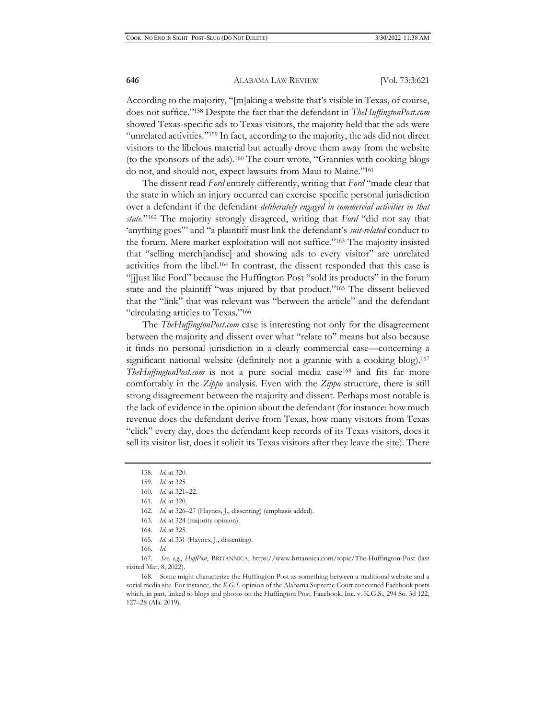According to the majority, "[m]aking a website that's visible in Texas, of course, does not suffice."158 Despite the fact that the defendant in *TheHuffingtonPost.com* showed Texas-specific ads to Texas visitors, the majority held that the ads were "unrelated activities."159 In fact, according to the majority, the ads did not direct visitors to the libelous material but actually drove them away from the website (to the sponsors of the ads).160 The court wrote, "Grannies with cooking blogs do not, and should not, expect lawsuits from Maui to Maine."161

The dissent read *Ford* entirely differently, writing that *Ford* "made clear that the state in which an injury occurred can exercise specific personal jurisdiction over a defendant if the defendant *deliberately engaged in commercial activities in that state.*"162 The majority strongly disagreed, writing that *Ford* "did not say that 'anything goes'" and "a plaintiff must link the defendant's *suit-related* conduct to the forum. Mere market exploitation will not suffice."163 The majority insisted that "selling merch[andise] and showing ads to every visitor" are unrelated activities from the libel.164 In contrast, the dissent responded that this case is "[j]ust like Ford" because the Huffington Post "sold its products" in the forum state and the plaintiff "was injured by that product."165 The dissent believed that the "link" that was relevant was "between the article" and the defendant "circulating articles to Texas."166

The *TheHuffingtonPost.com* case is interesting not only for the disagreement between the majority and dissent over what "relate to" means but also because it finds no personal jurisdiction in a clearly commercial case—concerning a significant national website (definitely not a grannie with a cooking blog).<sup>167</sup> *TheHuffingtonPost.com* is not a pure social media case168 and fits far more comfortably in the *Zippo* analysis. Even with the *Zippo* structure, there is still strong disagreement between the majority and dissent. Perhaps most notable is the lack of evidence in the opinion about the defendant (for instance: how much revenue does the defendant derive from Texas, how many visitors from Texas "click" every day, does the defendant keep records of its Texas visitors, does it sell its visitor list, does it solicit its Texas visitors after they leave the site). There

163. *Id.* at 324 (majority opinion).

- 165. *Id.* at 331 (Haynes, J., dissenting).
- 166. *Id.*

167. *See, e.g.*, *HuffPost*, BRITANNICA, https://www.britannica.com/topic/The-Huffington-Post (last visited Mar. 8, 2022).

168. Some might characterize the Huffington Post as something between a traditional website and a social media site. For instance, the *K.G.S.* opinion of the Alabama Supreme Court concerned Facebook posts which, in part, linked to blogs and photos on the Huffington Post. Facebook, Inc. v. K.G.S., 294 So. 3d 122, 127–28 (Ala. 2019).

<sup>158.</sup> *Id.* at 320.

<sup>159.</sup> *Id.* at 325.

<sup>160.</sup> *Id.* at 321–22.

<sup>161.</sup> *Id.* at 320.

<sup>162.</sup> *Id.* at 326–27 (Haynes, J., dissenting) (emphasis added).

<sup>164.</sup> *Id.* at 325.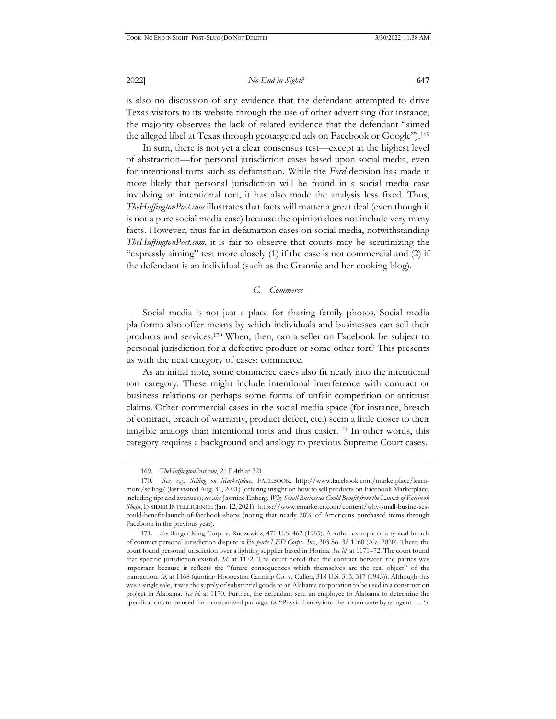is also no discussion of any evidence that the defendant attempted to drive Texas visitors to its website through the use of other advertising (for instance, the majority observes the lack of related evidence that the defendant "aimed the alleged libel at Texas through geotargeted ads on Facebook or Google").169

In sum, there is not yet a clear consensus test—except at the highest level of abstraction—for personal jurisdiction cases based upon social media, even for intentional torts such as defamation. While the *Ford* decision has made it more likely that personal jurisdiction will be found in a social media case involving an intentional tort, it has also made the analysis less fixed. Thus, *TheHuffingtonPost.com* illustrates that facts will matter a great deal (even though it is not a pure social media case) because the opinion does not include very many facts. However, thus far in defamation cases on social media, notwithstanding *TheHuffingtonPost.com*, it is fair to observe that courts may be scrutinizing the "expressly aiming" test more closely (1) if the case is not commercial and (2) if the defendant is an individual (such as the Grannie and her cooking blog).

# *C. Commerce*

Social media is not just a place for sharing family photos. Social media platforms also offer means by which individuals and businesses can sell their products and services.170 When, then, can a seller on Facebook be subject to personal jurisdiction for a defective product or some other tort? This presents us with the next category of cases: commerce.

As an initial note, some commerce cases also fit neatly into the intentional tort category. These might include intentional interference with contract or business relations or perhaps some forms of unfair competition or antitrust claims. Other commercial cases in the social media space (for instance, breach of contract, breach of warranty, product defect, etc.) seem a little closer to their tangible analogs than intentional torts and thus easier.171 In other words, this category requires a background and analogy to previous Supreme Court cases.

<sup>169.</sup> *TheHuffingtonPost.com*, 21 F.4th at 321.

<sup>170.</sup> *See, e.g.*, *Selling on Marketplace*, FACEBOOK, http://www.facebook.com/marketplace/learnmore/selling/ (last visited Aug. 31, 2021) (offering insight on how to sell products on Facebook Marketplace, including tips and avenues); *see also* Jasmine Enberg, *Why Small Businesses Could Benefit from the Launch of Facebook Shops*, INSIDER INTELLIGENCE (Jan. 12, 2021), https://www.emarketer.com/content/why-small-businessescould-benefit-launch-of-facebook-shops (noting that nearly 20% of Americans purchased items through Facebook in the previous year).

<sup>171.</sup> *See* Burger King Corp. v. Rudzewicz, 471 U.S. 462 (1985). Another example of a typical breach of contract personal jurisdiction dispute is *Ex parte LED Corps., Inc.*, 303 So. 3d 1160 (Ala. 2020). There, the court found personal jurisdiction over a lighting supplier based in Florida. *See id.* at 1171–72. The court found that specific jurisdiction existed. *Id.* at 1172. The court noted that the contract between the parties was important because it reflects the "future consequences which themselves are the real object" of the transaction. *Id.* at 1168 (quoting Hoopeston Canning Co. v. Cullen, 318 U.S. 313, 317 (1943)). Although this was a single sale, it was the supply of substantial goods to an Alabama corporation to be used in a construction project in Alabama. *See id.* at 1170. Further, the defendant sent an employee to Alabama to determine the specifications to be used for a customized package. *Id.* "Physical entry into the forum state by an agent . . . 'is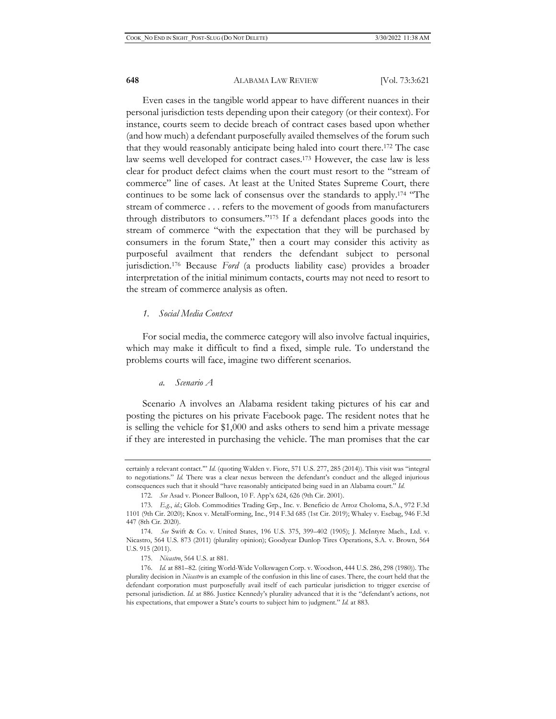Even cases in the tangible world appear to have different nuances in their personal jurisdiction tests depending upon their category (or their context). For instance, courts seem to decide breach of contract cases based upon whether (and how much) a defendant purposefully availed themselves of the forum such that they would reasonably anticipate being haled into court there.172 The case law seems well developed for contract cases.173 However, the case law is less clear for product defect claims when the court must resort to the "stream of commerce" line of cases. At least at the United States Supreme Court, there continues to be some lack of consensus over the standards to apply.174 "The stream of commerce . . . refers to the movement of goods from manufacturers through distributors to consumers."175 If a defendant places goods into the stream of commerce "with the expectation that they will be purchased by consumers in the forum State," then a court may consider this activity as purposeful availment that renders the defendant subject to personal jurisdiction.176 Because *Ford* (a products liability case) provides a broader interpretation of the initial minimum contacts, courts may not need to resort to the stream of commerce analysis as often.

#### *1. Social Media Context*

For social media, the commerce category will also involve factual inquiries, which may make it difficult to find a fixed, simple rule. To understand the problems courts will face, imagine two different scenarios.

#### *a. Scenario A*

Scenario A involves an Alabama resident taking pictures of his car and posting the pictures on his private Facebook page. The resident notes that he is selling the vehicle for \$1,000 and asks others to send him a private message if they are interested in purchasing the vehicle. The man promises that the car

certainly a relevant contact.'" *Id.* (quoting Walden v. Fiore, 571 U.S. 277, 285 (2014)). This visit was "integral to negotiations." *Id.* There was a clear nexus between the defendant's conduct and the alleged injurious consequences such that it should "have reasonably anticipated being sued in an Alabama court." *Id.*

<sup>172.</sup> *See* Asad v. Pioneer Balloon, 10 F. App'x 624, 626 (9th Cir. 2001).

<sup>173.</sup> *E.g.*, *id.*; Glob. Commodities Trading Grp., Inc. v. Beneficio de Arroz Choloma, S.A., 972 F.3d 1101 (9th Cir. 2020); Knox v. MetalForming, Inc., 914 F.3d 685 (1st Cir. 2019); Whaley v. Esebag, 946 F.3d 447 (8th Cir. 2020).

<sup>174.</sup> *See* Swift & Co. v. United States, 196 U.S. 375, 399–402 (1905); J. McIntyre Mach., Ltd. v. Nicastro, 564 U.S. 873 (2011) (plurality opinion); Goodyear Dunlop Tires Operations, S.A. v. Brown, 564 U.S. 915 (2011).

<sup>175.</sup> *Nicastro*, 564 U.S. at 881.

<sup>176.</sup> *Id.* at 881–82. (citing World-Wide Volkswagen Corp. v. Woodson, 444 U.S. 286, 298 (1980)). The plurality decision in *Nicastro* is an example of the confusion in this line of cases. There, the court held that the defendant corporation must purposefully avail itself of each particular jurisdiction to trigger exercise of personal jurisdiction. *Id.* at 886. Justice Kennedy's plurality advanced that it is the "defendant's actions, not his expectations, that empower a State's courts to subject him to judgment." *Id.* at 883.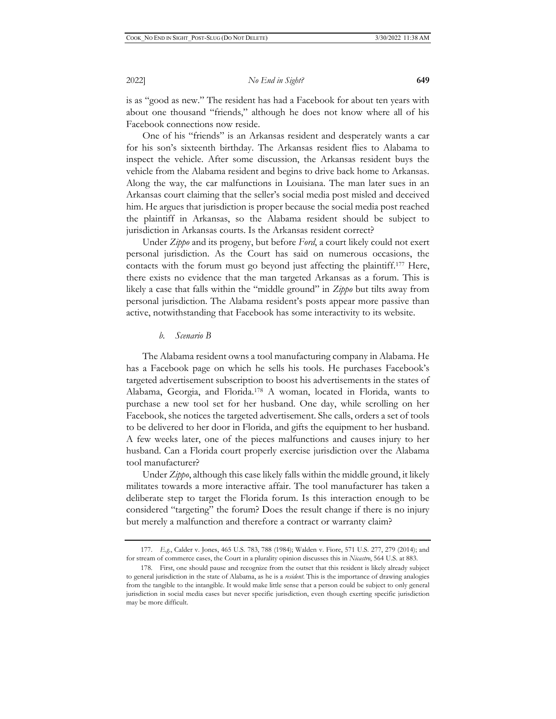is as "good as new." The resident has had a Facebook for about ten years with about one thousand "friends," although he does not know where all of his Facebook connections now reside.

One of his "friends" is an Arkansas resident and desperately wants a car for his son's sixteenth birthday. The Arkansas resident flies to Alabama to inspect the vehicle. After some discussion, the Arkansas resident buys the vehicle from the Alabama resident and begins to drive back home to Arkansas. Along the way, the car malfunctions in Louisiana. The man later sues in an Arkansas court claiming that the seller's social media post misled and deceived him. He argues that jurisdiction is proper because the social media post reached the plaintiff in Arkansas, so the Alabama resident should be subject to jurisdiction in Arkansas courts. Is the Arkansas resident correct?

Under *Zippo* and its progeny, but before *Ford*, a court likely could not exert personal jurisdiction. As the Court has said on numerous occasions, the contacts with the forum must go beyond just affecting the plaintiff.177 Here, there exists no evidence that the man targeted Arkansas as a forum. This is likely a case that falls within the "middle ground" in *Zippo* but tilts away from personal jurisdiction. The Alabama resident's posts appear more passive than active, notwithstanding that Facebook has some interactivity to its website.

#### *b. Scenario B*

The Alabama resident owns a tool manufacturing company in Alabama. He has a Facebook page on which he sells his tools. He purchases Facebook's targeted advertisement subscription to boost his advertisements in the states of Alabama, Georgia, and Florida.178 A woman, located in Florida, wants to purchase a new tool set for her husband. One day, while scrolling on her Facebook, she notices the targeted advertisement. She calls, orders a set of tools to be delivered to her door in Florida, and gifts the equipment to her husband. A few weeks later, one of the pieces malfunctions and causes injury to her husband. Can a Florida court properly exercise jurisdiction over the Alabama tool manufacturer?

Under *Zippo*, although this case likely falls within the middle ground, it likely militates towards a more interactive affair. The tool manufacturer has taken a deliberate step to target the Florida forum. Is this interaction enough to be considered "targeting" the forum? Does the result change if there is no injury but merely a malfunction and therefore a contract or warranty claim?

<sup>177.</sup> *E.g.*, Calder v. Jones, 465 U.S. 783, 788 (1984); Walden v. Fiore, 571 U.S. 277, 279 (2014); and for stream of commerce cases, the Court in a plurality opinion discusses this in *Nicastro*, 564 U.S. at 883.

<sup>178.</sup> First, one should pause and recognize from the outset that this resident is likely already subject to general jurisdiction in the state of Alabama, as he is a *resident*. This is the importance of drawing analogies from the tangible to the intangible. It would make little sense that a person could be subject to only general jurisdiction in social media cases but never specific jurisdiction, even though exerting specific jurisdiction may be more difficult.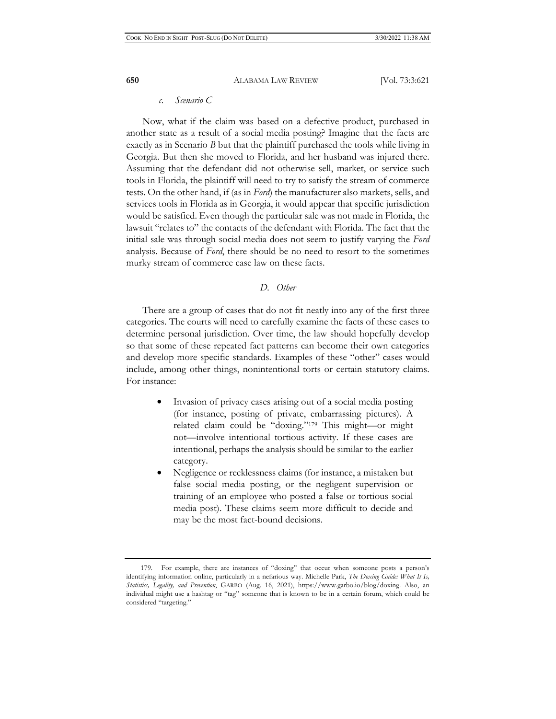#### *c. Scenario C*

Now, what if the claim was based on a defective product, purchased in another state as a result of a social media posting? Imagine that the facts are exactly as in Scenario *B* but that the plaintiff purchased the tools while living in Georgia. But then she moved to Florida, and her husband was injured there. Assuming that the defendant did not otherwise sell, market, or service such tools in Florida, the plaintiff will need to try to satisfy the stream of commerce tests. On the other hand, if (as in *Ford*) the manufacturer also markets, sells, and services tools in Florida as in Georgia, it would appear that specific jurisdiction would be satisfied. Even though the particular sale was not made in Florida, the lawsuit "relates to" the contacts of the defendant with Florida. The fact that the initial sale was through social media does not seem to justify varying the *Ford*  analysis. Because of *Ford*, there should be no need to resort to the sometimes murky stream of commerce case law on these facts.

#### *D. Other*

There are a group of cases that do not fit neatly into any of the first three categories. The courts will need to carefully examine the facts of these cases to determine personal jurisdiction. Over time, the law should hopefully develop so that some of these repeated fact patterns can become their own categories and develop more specific standards. Examples of these "other" cases would include, among other things, nonintentional torts or certain statutory claims. For instance:

- Invasion of privacy cases arising out of a social media posting (for instance, posting of private, embarrassing pictures). A related claim could be "doxing."179 This might—or might not—involve intentional tortious activity. If these cases are intentional, perhaps the analysis should be similar to the earlier category.
- Negligence or recklessness claims (for instance, a mistaken but false social media posting, or the negligent supervision or training of an employee who posted a false or tortious social media post). These claims seem more difficult to decide and may be the most fact-bound decisions.

<sup>179.</sup> For example, there are instances of "doxing" that occur when someone posts a person's identifying information online, particularly in a nefarious way. Michelle Park, *The Doxing Guide: What It Is, Statistics, Legality, and Prevention*, GARBO (Aug. 16, 2021), https://www.garbo.io/blog/doxing. Also, an individual might use a hashtag or "tag" someone that is known to be in a certain forum, which could be considered "targeting."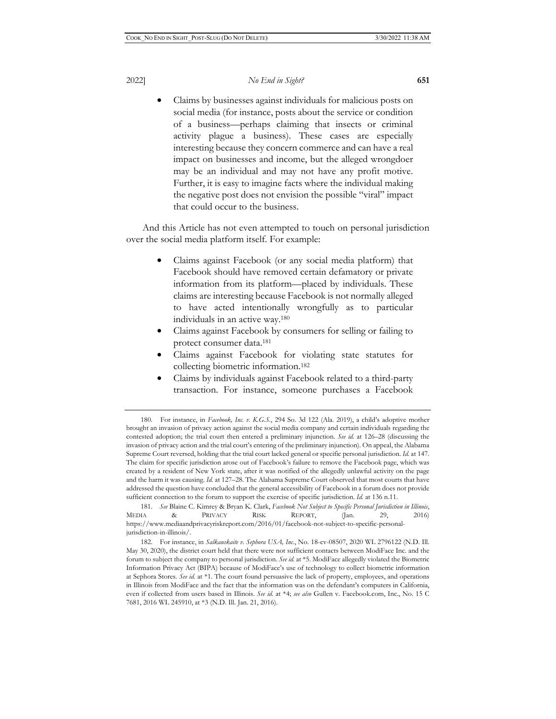• Claims by businesses against individuals for malicious posts on social media (for instance, posts about the service or condition of a business—perhaps claiming that insects or criminal activity plague a business). These cases are especially interesting because they concern commerce and can have a real impact on businesses and income, but the alleged wrongdoer may be an individual and may not have any profit motive. Further, it is easy to imagine facts where the individual making the negative post does not envision the possible "viral" impact that could occur to the business.

And this Article has not even attempted to touch on personal jurisdiction over the social media platform itself. For example:

- Claims against Facebook (or any social media platform) that Facebook should have removed certain defamatory or private information from its platform—placed by individuals. These claims are interesting because Facebook is not normally alleged to have acted intentionally wrongfully as to particular individuals in an active way.180
- Claims against Facebook by consumers for selling or failing to protect consumer data.181
- Claims against Facebook for violating state statutes for collecting biometric information.182
- Claims by individuals against Facebook related to a third-party transaction. For instance, someone purchases a Facebook

<sup>180.</sup> For instance, in *Facebook, Inc. v. K.G.S.*, 294 So. 3d 122 (Ala. 2019), a child's adoptive mother brought an invasion of privacy action against the social media company and certain individuals regarding the contested adoption; the trial court then entered a preliminary injunction. *See id.* at 126–28 (discussing the invasion of privacy action and the trial court's entering of the preliminary injunction). On appeal, the Alabama Supreme Court reversed, holding that the trial court lacked general or specific personal jurisdiction. *Id.* at 147. The claim for specific jurisdiction arose out of Facebook's failure to remove the Facebook page, which was created by a resident of New York state, after it was notified of the allegedly unlawful activity on the page and the harm it was causing. *Id.* at 127-28. The Alabama Supreme Court observed that most courts that have addressed the question have concluded that the general accessibility of Facebook in a forum does not provide sufficient connection to the forum to support the exercise of specific jurisdiction. *Id.* at 136 n.11.

<sup>181.</sup> *See* Blaine C. Kimrey & Bryan K. Clark, *Facebook Not Subject to Specific Personal Jurisdiction in Illinois*, MEDIA & PRIVACY RISK REPORT, (Jan. 29, 2016) https://www.mediaandprivacyriskreport.com/2016/01/facebook-not-subject-to-specific-personaljurisdiction-in-illinois/.

<sup>182.</sup> For instance, in *Salkauskaite v. Sephora USA, Inc.*, No. 18-cv-08507, 2020 WL 2796122 (N.D. Ill. May 30, 2020), the district court held that there were not sufficient contacts between ModiFace Inc. and the forum to subject the company to personal jurisdiction. *See id.* at \*5. ModiFace allegedly violated the Biometric Information Privacy Act (BIPA) because of ModiFace's use of technology to collect biometric information at Sephora Stores. *See id.* at \*1. The court found persuasive the lack of property, employees, and operations in Illinois from ModiFace and the fact that the information was on the defendant's computers in California, even if collected from users based in Illinois. *See id.* at \*4; *see also* Gullen v. Facebook.com, Inc., No. 15 C 7681, 2016 WL 245910, at \*3 (N.D. Ill. Jan. 21, 2016).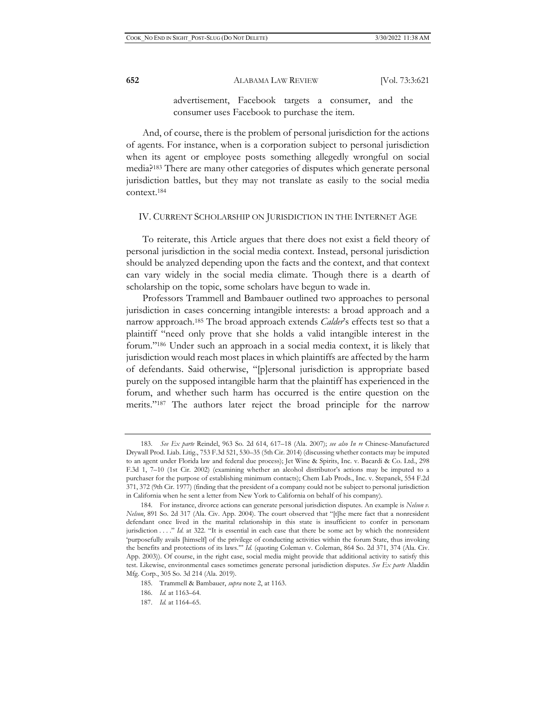advertisement, Facebook targets a consumer, and the consumer uses Facebook to purchase the item.

And, of course, there is the problem of personal jurisdiction for the actions of agents. For instance, when is a corporation subject to personal jurisdiction when its agent or employee posts something allegedly wrongful on social media?183 There are many other categories of disputes which generate personal jurisdiction battles, but they may not translate as easily to the social media context.184

#### IV. CURRENT SCHOLARSHIP ON JURISDICTION IN THE INTERNET AGE

To reiterate, this Article argues that there does not exist a field theory of personal jurisdiction in the social media context. Instead, personal jurisdiction should be analyzed depending upon the facts and the context, and that context can vary widely in the social media climate. Though there is a dearth of scholarship on the topic, some scholars have begun to wade in.

Professors Trammell and Bambauer outlined two approaches to personal jurisdiction in cases concerning intangible interests: a broad approach and a narrow approach.185 The broad approach extends *Calder*'s effects test so that a plaintiff "need only prove that she holds a valid intangible interest in the forum."186 Under such an approach in a social media context, it is likely that jurisdiction would reach most places in which plaintiffs are affected by the harm of defendants. Said otherwise, "[p]ersonal jurisdiction is appropriate based purely on the supposed intangible harm that the plaintiff has experienced in the forum, and whether such harm has occurred is the entire question on the merits."187 The authors later reject the broad principle for the narrow

<sup>183.</sup> *See Ex parte* Reindel, 963 So. 2d 614, 617–18 (Ala. 2007); *see also In re* Chinese-Manufactured Drywall Prod. Liab. Litig., 753 F.3d 521, 530–35 (5th Cir. 2014) (discussing whether contacts may be imputed to an agent under Florida law and federal due process); Jet Wine & Spirits, Inc. v. Bacardi & Co. Ltd., 298 F.3d 1, 7–10 (1st Cir. 2002) (examining whether an alcohol distributor's actions may be imputed to a purchaser for the purpose of establishing minimum contacts); Chem Lab Prods., Inc. v. Stepanek, 554 F.2d 371, 372 (9th Cir. 1977) (finding that the president of a company could not be subject to personal jurisdiction in California when he sent a letter from New York to California on behalf of his company).

<sup>184.</sup> For instance, divorce actions can generate personal jurisdiction disputes. An example is *Nelson v. Nelson*, 891 So. 2d 317 (Ala. Civ. App. 2004). The court observed that "[t]he mere fact that a nonresident defendant once lived in the marital relationship in this state is insufficient to confer in personam jurisdiction . . . . " *Id.* at 322. "It is essential in each case that there be some act by which the nonresident 'purposefully avails [himself] of the privilege of conducting activities within the forum State, thus invoking the benefits and protections of its laws.'" *Id.* (quoting Coleman v. Coleman, 864 So. 2d 371, 374 (Ala. Civ. App. 2003)). Of course, in the right case, social media might provide that additional activity to satisfy this test. Likewise, environmental cases sometimes generate personal jurisdiction disputes. *See Ex parte* Aladdin Mfg. Corp., 305 So. 3d 214 (Ala. 2019).

<sup>185.</sup> Trammell & Bambauer, *supra* note 2, at 1163.

<sup>186.</sup> *Id.* at 1163–64.

<sup>187.</sup> *Id.* at 1164–65.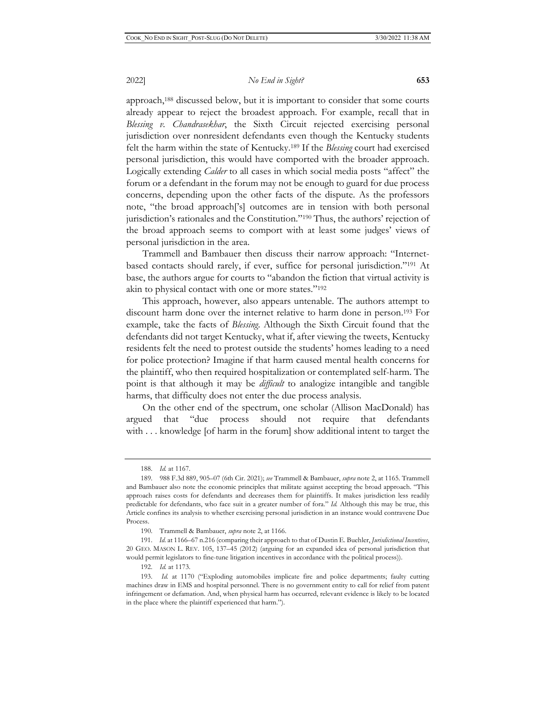approach,188 discussed below, but it is important to consider that some courts already appear to reject the broadest approach. For example, recall that in *Blessing v. Chandrasekhar*, the Sixth Circuit rejected exercising personal jurisdiction over nonresident defendants even though the Kentucky students felt the harm within the state of Kentucky.189 If the *Blessing* court had exercised personal jurisdiction, this would have comported with the broader approach. Logically extending *Calder* to all cases in which social media posts "affect" the forum or a defendant in the forum may not be enough to guard for due process concerns, depending upon the other facts of the dispute. As the professors note, "the broad approach['s] outcomes are in tension with both personal jurisdiction's rationales and the Constitution."190 Thus, the authors' rejection of the broad approach seems to comport with at least some judges' views of personal jurisdiction in the area.

Trammell and Bambauer then discuss their narrow approach: "Internetbased contacts should rarely, if ever, suffice for personal jurisdiction."191 At base, the authors argue for courts to "abandon the fiction that virtual activity is akin to physical contact with one or more states."192

This approach, however, also appears untenable. The authors attempt to discount harm done over the internet relative to harm done in person.193 For example, take the facts of *Blessing*. Although the Sixth Circuit found that the defendants did not target Kentucky, what if, after viewing the tweets, Kentucky residents felt the need to protest outside the students' homes leading to a need for police protection? Imagine if that harm caused mental health concerns for the plaintiff, who then required hospitalization or contemplated self-harm. The point is that although it may be *difficult* to analogize intangible and tangible harms, that difficulty does not enter the due process analysis.

On the other end of the spectrum, one scholar (Allison MacDonald) has argued that "due process should not require that defendants with . . . knowledge [of harm in the forum] show additional intent to target the

192. *Id.* at 1173.

<sup>188.</sup> *Id.* at 1167.

<sup>189. 988</sup> F.3d 889, 905–07 (6th Cir. 2021); *see* Trammell & Bambauer, *supra* note 2, at 1165. Trammell and Bambauer also note the economic principles that militate against accepting the broad approach. "This approach raises costs for defendants and decreases them for plaintiffs. It makes jurisdiction less readily predictable for defendants, who face suit in a greater number of fora." *Id.* Although this may be true, this Article confines its analysis to whether exercising personal jurisdiction in an instance would contravene Due Process.

<sup>190.</sup> Trammell & Bambauer, *supra* note 2, at 1166.

<sup>191.</sup> *Id.* at 1166–67 n.216 (comparing their approach to that of Dustin E. Buehler, *Jurisdictional Incentives*, 20 GEO. MASON L. REV. 105, 137–45 (2012) (arguing for an expanded idea of personal jurisdiction that would permit legislators to fine-tune litigation incentives in accordance with the political process)).

<sup>193.</sup> *Id.* at 1170 ("Exploding automobiles implicate fire and police departments; faulty cutting machines draw in EMS and hospital personnel. There is no government entity to call for relief from patent infringement or defamation. And, when physical harm has occurred, relevant evidence is likely to be located in the place where the plaintiff experienced that harm.").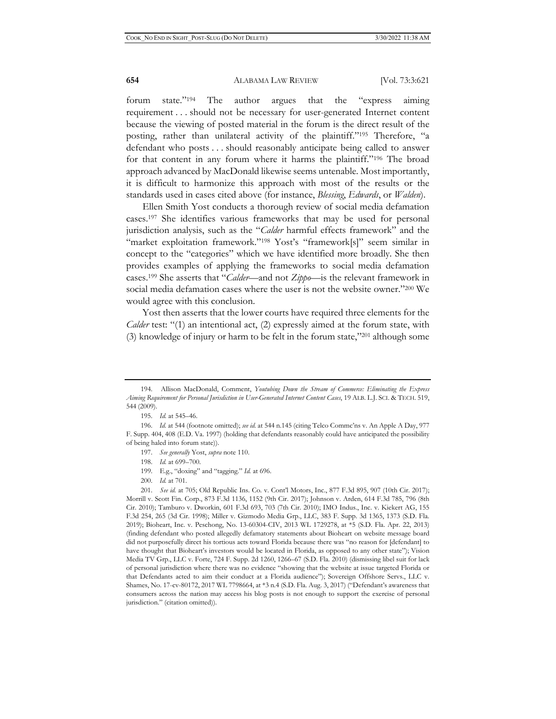forum state."194 The author argues that the "express aiming requirement . . . should not be necessary for user-generated Internet content because the viewing of posted material in the forum is the direct result of the posting, rather than unilateral activity of the plaintiff."195 Therefore, "a defendant who posts . . . should reasonably anticipate being called to answer for that content in any forum where it harms the plaintiff."196 The broad approach advanced by MacDonald likewise seems untenable. Most importantly, it is difficult to harmonize this approach with most of the results or the standards used in cases cited above (for instance, *Blessing*, *Edwards*, or *Walden*).

Ellen Smith Yost conducts a thorough review of social media defamation cases.197 She identifies various frameworks that may be used for personal jurisdiction analysis, such as the "*Calder* harmful effects framework" and the "market exploitation framework."<sup>198</sup> Yost's "framework[s]" seem similar in concept to the "categories" which we have identified more broadly. She then provides examples of applying the frameworks to social media defamation cases.199 She asserts that "*Calder*—and not *Zippo*—is the relevant framework in social media defamation cases where the user is not the website owner."200 We would agree with this conclusion.

Yost then asserts that the lower courts have required three elements for the *Calder* test: "(1) an intentional act, (2) expressly aimed at the forum state, with (3) knowledge of injury or harm to be felt in the forum state," $^{201}$  although some

200. *Id.* at 701.

<sup>194.</sup> Allison MacDonald, Comment, *Youtubing Down the Stream of Commerce: Eliminating the Express Aiming Requirement for Personal Jurisdiction in User-Generated Internet Content Cases*, 19 ALB. L.J. SCI. & TECH. 519, 544 (2009).

<sup>195.</sup> *Id.* at 545–46.

<sup>196.</sup> *Id.* at 544 (footnote omitted); *see id.* at 544 n.145 (citing Telco Commc'ns v. An Apple A Day, 977 F. Supp. 404, 408 (E.D. Va. 1997) (holding that defendants reasonably could have anticipated the possibility of being haled into forum state)).

<sup>197.</sup> *See generally* Yost, *supra* note 110.

<sup>198.</sup> *Id.* at 699–700.

<sup>199.</sup> E.g., "doxing" and "tagging." *Id.* at 696.

<sup>201.</sup> *See id.* at 705; Old Republic Ins. Co. v. Cont'l Motors, Inc., 877 F.3d 895, 907 (10th Cir. 2017); Morrill v. Scott Fin. Corp., 873 F.3d 1136, 1152 (9th Cir. 2017); Johnson v. Arden, 614 F.3d 785, 796 (8th Cir. 2010); Tamburo v. Dworkin, 601 F.3d 693, 703 (7th Cir. 2010); IMO Indus., Inc. v. Kiekert AG, 155 F.3d 254, 265 (3d Cir. 1998); Miller v. Gizmodo Media Grp., LLC, 383 F. Supp. 3d 1365, 1373 (S.D. Fla. 2019); Bioheart, Inc. v. Peschong, No. 13-60304-CIV, 2013 WL 1729278, at \*5 (S.D. Fla. Apr. 22, 2013) (finding defendant who posted allegedly defamatory statements about Bioheart on website message board did not purposefully direct his tortious acts toward Florida because there was "no reason for [defendant] to have thought that Bioheart's investors would be located in Florida, as opposed to any other state"); Vision Media TV Grp., LLC v. Forte, 724 F. Supp. 2d 1260, 1266–67 (S.D. Fla. 2010) (dismissing libel suit for lack of personal jurisdiction where there was no evidence "showing that the website at issue targeted Florida or that Defendants acted to aim their conduct at a Florida audience"); Sovereign Offshore Servs., LLC v. Shames, No. 17-cv-80172, 2017 WL 7798664, at \*3 n.4 (S.D. Fla. Aug. 3, 2017) ("Defendant's awareness that consumers across the nation may access his blog posts is not enough to support the exercise of personal jurisdiction." (citation omitted)).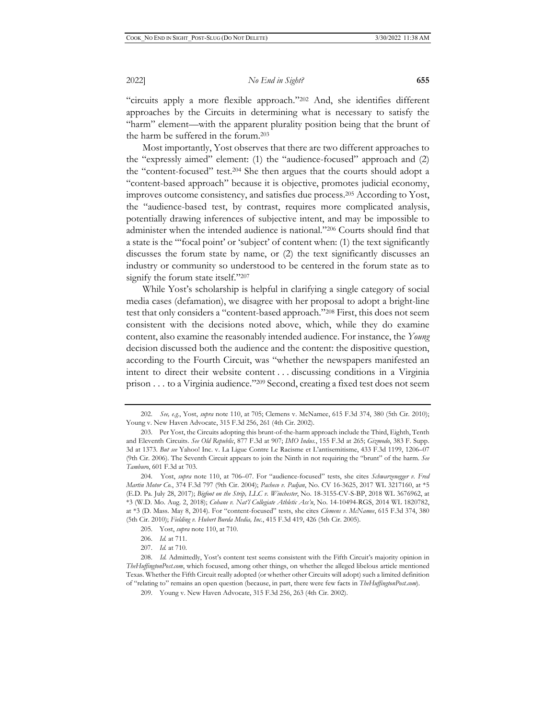"circuits apply a more flexible approach."202 And, she identifies different approaches by the Circuits in determining what is necessary to satisfy the "harm" element—with the apparent plurality position being that the brunt of the harm be suffered in the forum.203

Most importantly, Yost observes that there are two different approaches to the "expressly aimed" element: (1) the "audience-focused" approach and (2) the "content-focused" test.204 She then argues that the courts should adopt a "content-based approach" because it is objective, promotes judicial economy, improves outcome consistency, and satisfies due process.205 According to Yost, the "audience-based test, by contrast, requires more complicated analysis, potentially drawing inferences of subjective intent, and may be impossible to administer when the intended audience is national."206 Courts should find that a state is the "'focal point' or 'subject' of content when: (1) the text significantly discusses the forum state by name, or (2) the text significantly discusses an industry or community so understood to be centered in the forum state as to signify the forum state itself."207

While Yost's scholarship is helpful in clarifying a single category of social media cases (defamation), we disagree with her proposal to adopt a bright-line test that only considers a "content-based approach."208 First, this does not seem consistent with the decisions noted above, which, while they do examine content, also examine the reasonably intended audience. For instance, the *Young*  decision discussed both the audience and the content: the dispositive question, according to the Fourth Circuit, was "whether the newspapers manifested an intent to direct their website content . . . discussing conditions in a Virginia prison . . . to a Virginia audience."209 Second, creating a fixed test does not seem

<sup>202.</sup> *See, e.g.*, Yost, *supra* note 110, at 705; Clemens v. McNamee, 615 F.3d 374, 380 (5th Cir. 2010); Young v. New Haven Advocate, 315 F.3d 256, 261 (4th Cir. 2002).

<sup>203.</sup> Per Yost, the Circuits adopting this brunt-of-the-harm approach include the Third, Eighth, Tenth and Eleventh Circuits. *See Old Republic*, 877 F.3d at 907; *IMO Indus.*, 155 F.3d at 265; *Gizmodo*, 383 F. Supp. 3d at 1373. *But see* Yahoo! Inc. v. La Ligue Contre Le Racisme et L'antisemitisme, 433 F.3d 1199, 1206–07 (9th Cir. 2006). The Seventh Circuit appears to join the Ninth in not requiring the "brunt" of the harm. *See Tamburo*, 601 F.3d at 703.

<sup>204.</sup> Yost, *supra* note 110, at 706–07. For "audience-focused" tests, she cites *Schwarzenegger v. Fred Martin Motor Co.*, 374 F.3d 797 (9th Cir. 2004); *Pacheco v. Padjan*, No. CV 16-3625, 2017 WL 3217160, at \*5 (E.D. Pa. July 28, 2017); *Bigfoot on the Strip, LLC v. Winchester*, No. 18-3155-CV-S-BP, 2018 WL 3676962, at \*3 (W.D. Mo. Aug. 2, 2018); *Cohane v. Nat'l Collegiate Athletic Ass'n*, No. 14-10494-RGS, 2014 WL 1820782, at \*3 (D. Mass. May 8, 2014). For "content-focused" tests, she cites *Clemens v. McNamee*, 615 F.3d 374, 380 (5th Cir. 2010); *Fielding v. Hubert Burda Media, Inc.*, 415 F.3d 419, 426 (5th Cir. 2005).

<sup>205.</sup> Yost, *supra* note 110, at 710.

<sup>206.</sup> *Id.* at 711.

<sup>207.</sup> *Id.* at 710.

<sup>208.</sup> *Id.* Admittedly, Yost's content test seems consistent with the Fifth Circuit's majority opinion in *TheHuffingtonPost.com*, which focused, among other things, on whether the alleged libelous article mentioned Texas. Whether the Fifth Circuit really adopted (or whether other Circuits will adopt) such a limited definition of "relating to" remains an open question (because, in part, there were few facts in *TheHuffingtonPost.com*).

<sup>209.</sup> Young v. New Haven Advocate, 315 F.3d 256, 263 (4th Cir. 2002).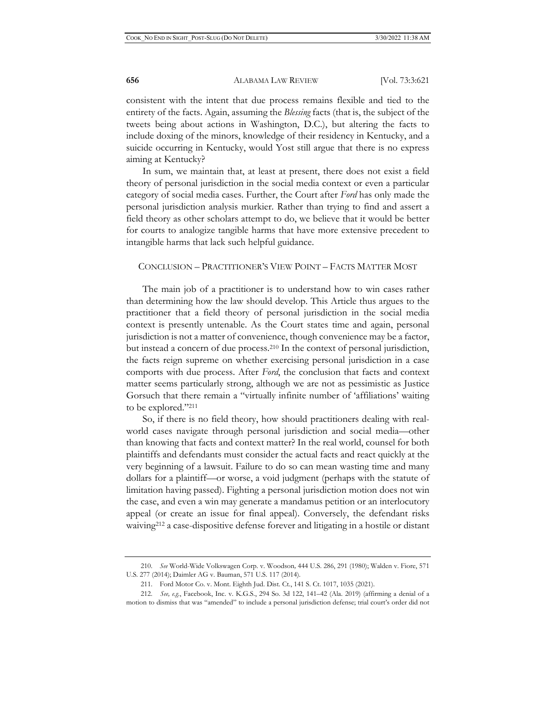consistent with the intent that due process remains flexible and tied to the entirety of the facts. Again, assuming the *Blessing* facts (that is, the subject of the tweets being about actions in Washington, D.C.), but altering the facts to include doxing of the minors, knowledge of their residency in Kentucky, and a suicide occurring in Kentucky, would Yost still argue that there is no express aiming at Kentucky?

In sum, we maintain that, at least at present, there does not exist a field theory of personal jurisdiction in the social media context or even a particular category of social media cases. Further, the Court after *Ford* has only made the personal jurisdiction analysis murkier. Rather than trying to find and assert a field theory as other scholars attempt to do, we believe that it would be better for courts to analogize tangible harms that have more extensive precedent to intangible harms that lack such helpful guidance.

### CONCLUSION – PRACTITIONER'S VIEW POINT – FACTS MATTER MOST

The main job of a practitioner is to understand how to win cases rather than determining how the law should develop. This Article thus argues to the practitioner that a field theory of personal jurisdiction in the social media context is presently untenable. As the Court states time and again, personal jurisdiction is not a matter of convenience, though convenience may be a factor, but instead a concern of due process.210 In the context of personal jurisdiction, the facts reign supreme on whether exercising personal jurisdiction in a case comports with due process. After *Ford*, the conclusion that facts and context matter seems particularly strong, although we are not as pessimistic as Justice Gorsuch that there remain a "virtually infinite number of 'affiliations' waiting to be explored."211

So, if there is no field theory, how should practitioners dealing with realworld cases navigate through personal jurisdiction and social media—other than knowing that facts and context matter? In the real world, counsel for both plaintiffs and defendants must consider the actual facts and react quickly at the very beginning of a lawsuit. Failure to do so can mean wasting time and many dollars for a plaintiff—or worse, a void judgment (perhaps with the statute of limitation having passed). Fighting a personal jurisdiction motion does not win the case, and even a win may generate a mandamus petition or an interlocutory appeal (or create an issue for final appeal). Conversely, the defendant risks waiving212 a case-dispositive defense forever and litigating in a hostile or distant

<sup>210.</sup> *See* World-Wide Volkswagen Corp. v. Woodson*,* 444 U.S. 286, 291 (1980); Walden v. Fiore, 571 U.S. 277 (2014); Daimler AG v. Bauman, 571 U.S. 117 (2014).

<sup>211.</sup> Ford Motor Co. v. Mont. Eighth Jud. Dist. Ct., 141 S. Ct. 1017, 1035 (2021).

<sup>212.</sup> *See, e.g.*, Facebook, Inc. v. K.G.S., 294 So. 3d 122, 141–42 (Ala. 2019) (affirming a denial of a motion to dismiss that was "amended" to include a personal jurisdiction defense; trial court's order did not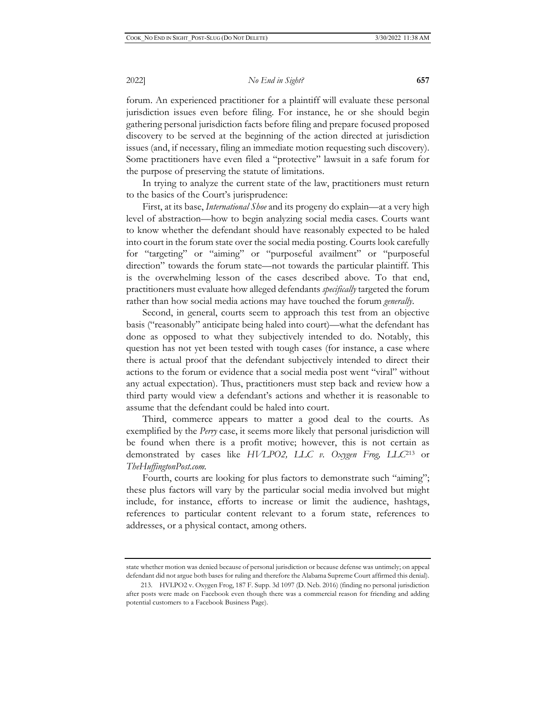forum. An experienced practitioner for a plaintiff will evaluate these personal jurisdiction issues even before filing. For instance, he or she should begin gathering personal jurisdiction facts before filing and prepare focused proposed discovery to be served at the beginning of the action directed at jurisdiction issues (and, if necessary, filing an immediate motion requesting such discovery). Some practitioners have even filed a "protective" lawsuit in a safe forum for the purpose of preserving the statute of limitations.

In trying to analyze the current state of the law, practitioners must return to the basics of the Court's jurisprudence:

First, at its base, *International Shoe* and its progeny do explain—at a very high level of abstraction—how to begin analyzing social media cases. Courts want to know whether the defendant should have reasonably expected to be haled into court in the forum state over the social media posting. Courts look carefully for "targeting" or "aiming" or "purposeful availment" or "purposeful direction" towards the forum state—not towards the particular plaintiff. This is the overwhelming lesson of the cases described above. To that end, practitioners must evaluate how alleged defendants *specifically* targeted the forum rather than how social media actions may have touched the forum *generally*.

Second, in general, courts seem to approach this test from an objective basis ("reasonably" anticipate being haled into court)—what the defendant has done as opposed to what they subjectively intended to do. Notably, this question has not yet been tested with tough cases (for instance, a case where there is actual proof that the defendant subjectively intended to direct their actions to the forum or evidence that a social media post went "viral" without any actual expectation). Thus, practitioners must step back and review how a third party would view a defendant's actions and whether it is reasonable to assume that the defendant could be haled into court.

Third, commerce appears to matter a good deal to the courts. As exemplified by the *Perry* case, it seems more likely that personal jurisdiction will be found when there is a profit motive; however, this is not certain as demonstrated by cases like *HVLPO2, LLC v. Oxygen Frog, LLC*<sup>213</sup> or *TheHuffingtonPost.com.*

Fourth, courts are looking for plus factors to demonstrate such "aiming"; these plus factors will vary by the particular social media involved but might include, for instance, efforts to increase or limit the audience, hashtags, references to particular content relevant to a forum state, references to addresses, or a physical contact, among others.

state whether motion was denied because of personal jurisdiction or because defense was untimely; on appeal defendant did not argue both bases for ruling and therefore the Alabama Supreme Court affirmed this denial).

<sup>213.</sup> HVLPO2 v. Oxygen Frog, 187 F. Supp. 3d 1097 (D. Neb. 2016) (finding no personal jurisdiction after posts were made on Facebook even though there was a commercial reason for friending and adding potential customers to a Facebook Business Page).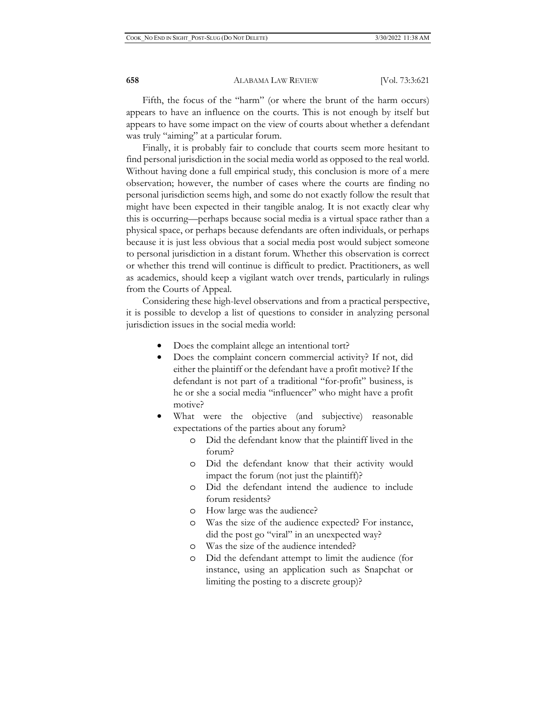Fifth, the focus of the "harm" (or where the brunt of the harm occurs) appears to have an influence on the courts. This is not enough by itself but appears to have some impact on the view of courts about whether a defendant was truly "aiming" at a particular forum.

Finally, it is probably fair to conclude that courts seem more hesitant to find personal jurisdiction in the social media world as opposed to the real world. Without having done a full empirical study, this conclusion is more of a mere observation; however, the number of cases where the courts are finding no personal jurisdiction seems high, and some do not exactly follow the result that might have been expected in their tangible analog. It is not exactly clear why this is occurring—perhaps because social media is a virtual space rather than a physical space, or perhaps because defendants are often individuals, or perhaps because it is just less obvious that a social media post would subject someone to personal jurisdiction in a distant forum. Whether this observation is correct or whether this trend will continue is difficult to predict. Practitioners, as well as academics, should keep a vigilant watch over trends, particularly in rulings from the Courts of Appeal.

Considering these high-level observations and from a practical perspective, it is possible to develop a list of questions to consider in analyzing personal jurisdiction issues in the social media world:

- Does the complaint allege an intentional tort?
- Does the complaint concern commercial activity? If not, did either the plaintiff or the defendant have a profit motive? If the defendant is not part of a traditional "for-profit" business, is he or she a social media "influencer" who might have a profit motive?
- What were the objective (and subjective) reasonable expectations of the parties about any forum?
	- o Did the defendant know that the plaintiff lived in the forum?
	- o Did the defendant know that their activity would impact the forum (not just the plaintiff)?
	- o Did the defendant intend the audience to include forum residents?
	- o How large was the audience?
	- o Was the size of the audience expected? For instance, did the post go "viral" in an unexpected way?
	- o Was the size of the audience intended?
	- o Did the defendant attempt to limit the audience (for instance, using an application such as Snapchat or limiting the posting to a discrete group)?